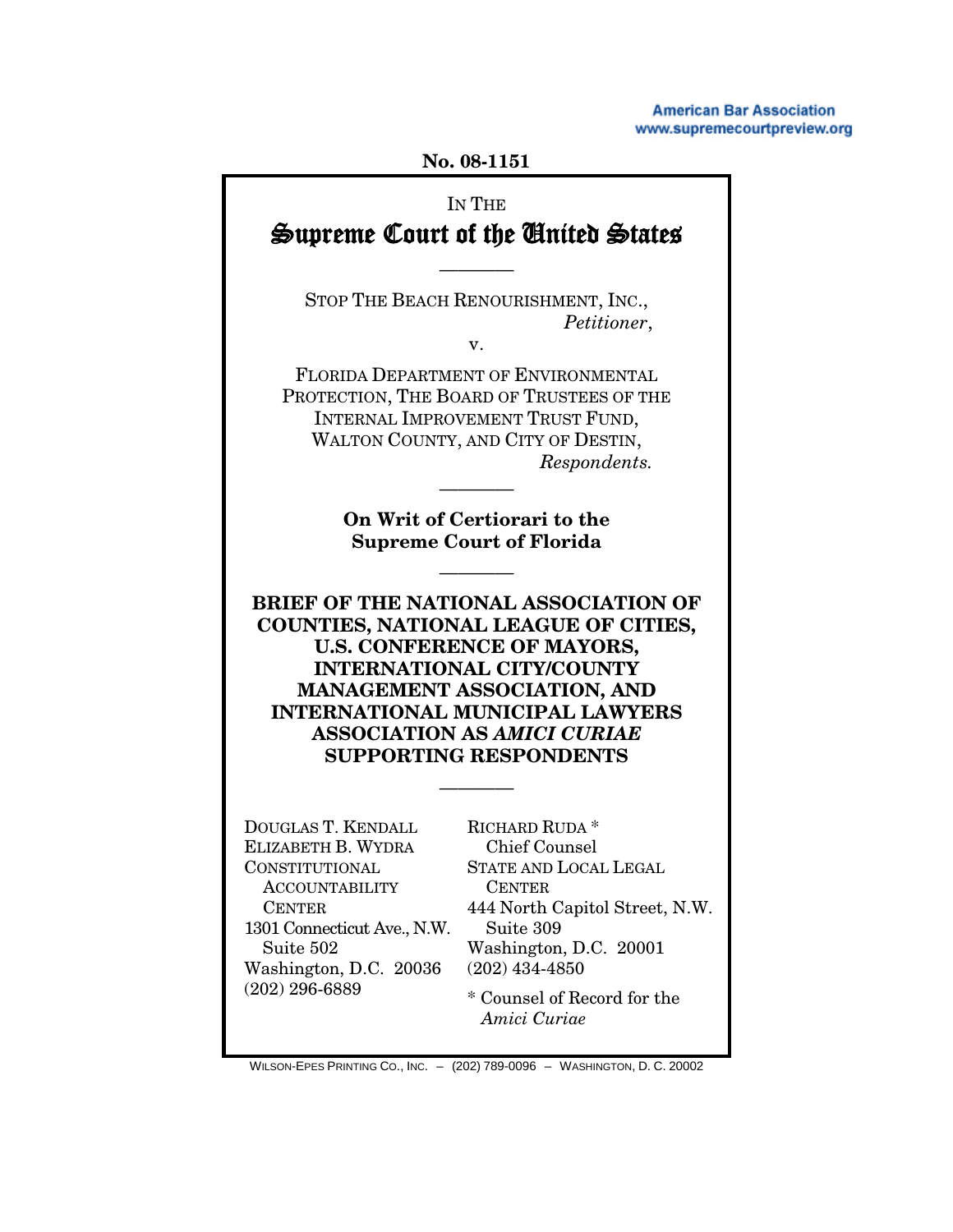**American Bar Association** www.supremecourtpreview.org

#### **No. 08-1151**

# IN THE Supreme Court of the United States

STOP THE BEACH RENOURISHMENT, INC., *Petitioner*,

————

v.

FLORIDA DEPARTMENT OF ENVIRONMENTAL PROTECTION, THE BOARD OF TRUSTEES OF THE INTERNAL IMPROVEMENT TRUST FUND, WALTON COUNTY, AND CITY OF DESTIN, *Respondents.*

> **On Writ of Certiorari to the Supreme Court of Florida**

> > ————

————

**BRIEF OF THE NATIONAL ASSOCIATION OF COUNTIES, NATIONAL LEAGUE OF CITIES, U.S. CONFERENCE OF MAYORS, INTERNATIONAL CITY/COUNTY MANAGEMENT ASSOCIATION, AND INTERNATIONAL MUNICIPAL LAWYERS ASSOCIATION AS** *AMICI CURIAE* **SUPPORTING RESPONDENTS**

————

DOUGLAS T. KENDALL ELIZABETH B. WYDRA CONSTITUTIONAL ACCOUNTABILITY CENTER 1301 Connecticut Ave., N.W. Suite 502 Washington, D.C. 20036 (202) 296-6889

RICHARD RUDA \* Chief Counsel STATE AND LOCAL LEGAL CENTER 444 North Capitol Street, N.W. Suite 309 Washington, D.C. 20001 (202) 434-4850

\* Counsel of Record for the  *Amici Curiae*

WILSON-EPES PRINTING CO., INC. – (202) 789-0096 – WASHINGTON, D. C. 20002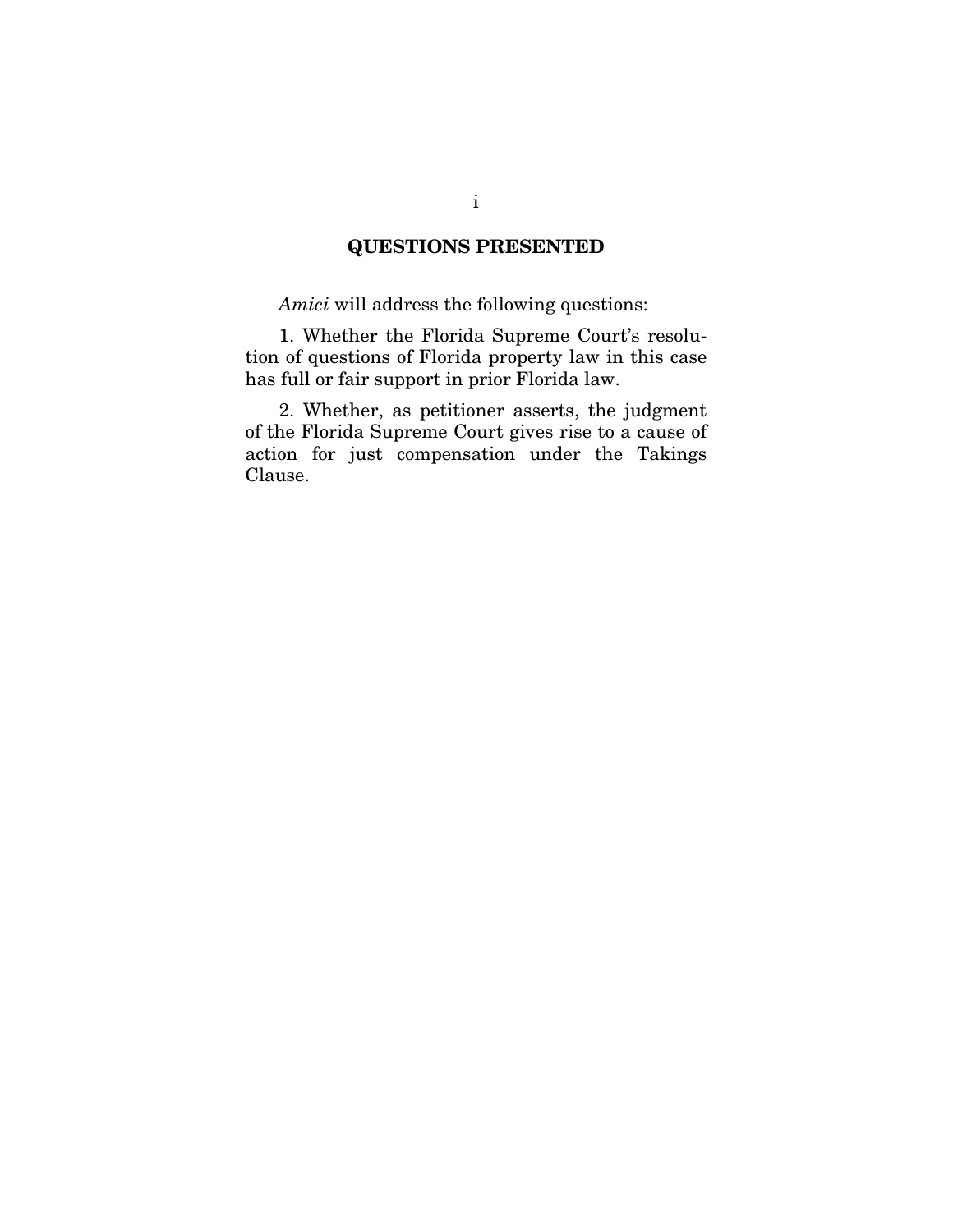## QUESTIONS PRESENTED

*Amici* will address the following questions:

1. Whether the Florida Supreme Court's resolution of questions of Florida property law in this case has full or fair support in prior Florida law.

2. Whether, as petitioner asserts, the judgment of the Florida Supreme Court gives rise to a cause of action for just compensation under the Takings Clause.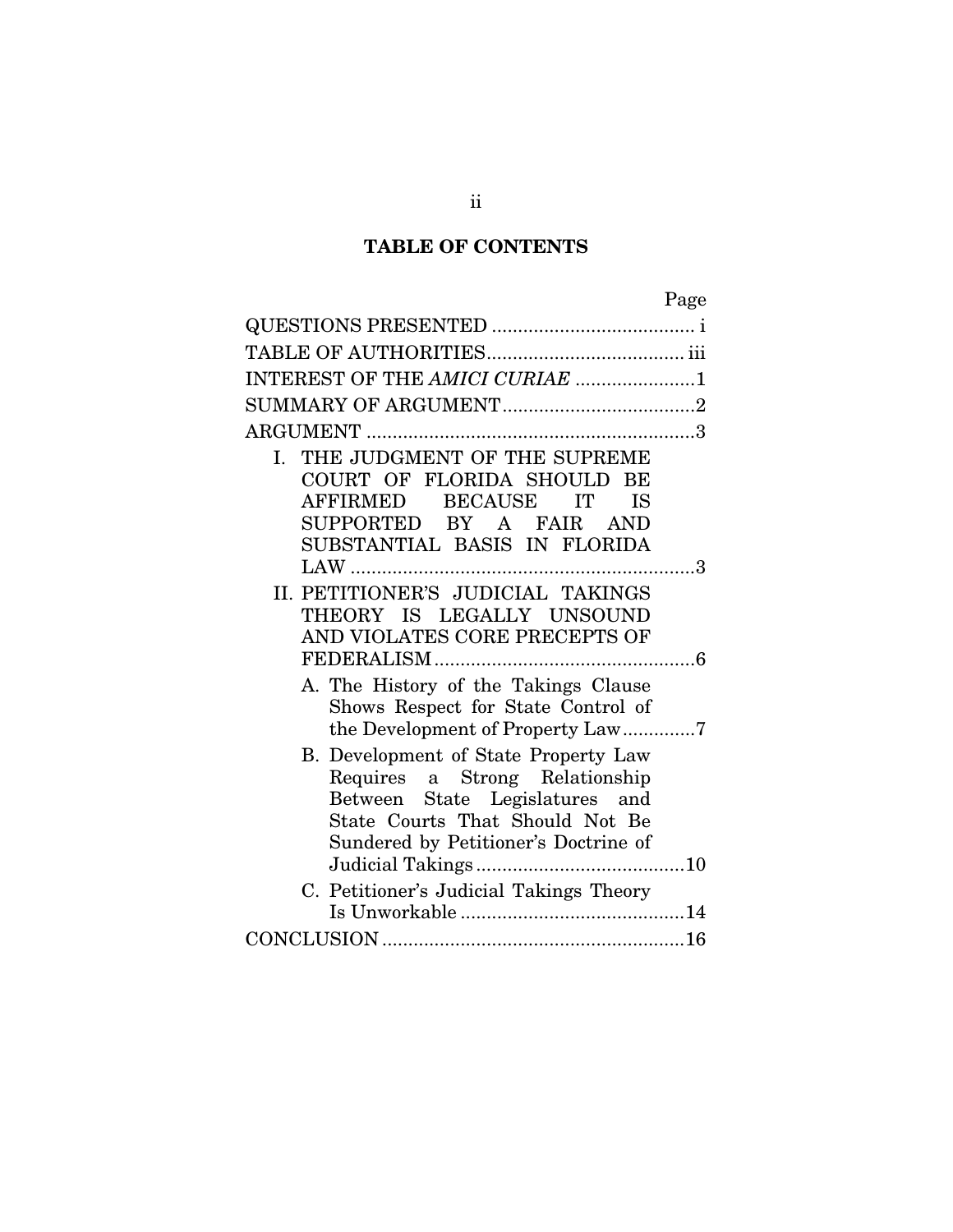# TABLE OF CONTENTS

|--|

| INTEREST OF THE AMICI CURIAE 1                                                                                                                                                      |
|-------------------------------------------------------------------------------------------------------------------------------------------------------------------------------------|
|                                                                                                                                                                                     |
|                                                                                                                                                                                     |
| THE JUDGMENT OF THE SUPREME<br>I.<br>COURT OF FLORIDA SHOULD BE<br>AFFIRMED BECAUSE<br>IT<br><b>IS</b><br>SUPPORTED BY A FAIR AND<br>SUBSTANTIAL BASIS IN FLORIDA                   |
|                                                                                                                                                                                     |
| II. PETITIONER'S JUDICIAL TAKINGS<br>THEORY IS LEGALLY UNSOUND<br>AND VIOLATES CORE PRECEPTS OF                                                                                     |
| A. The History of the Takings Clause<br>Shows Respect for State Control of<br>the Development of Property Law7                                                                      |
| B. Development of State Property Law<br>Requires a Strong Relationship<br>Between State Legislatures and<br>State Courts That Should Not Be<br>Sundered by Petitioner's Doctrine of |
| C. Petitioner's Judicial Takings Theory                                                                                                                                             |
|                                                                                                                                                                                     |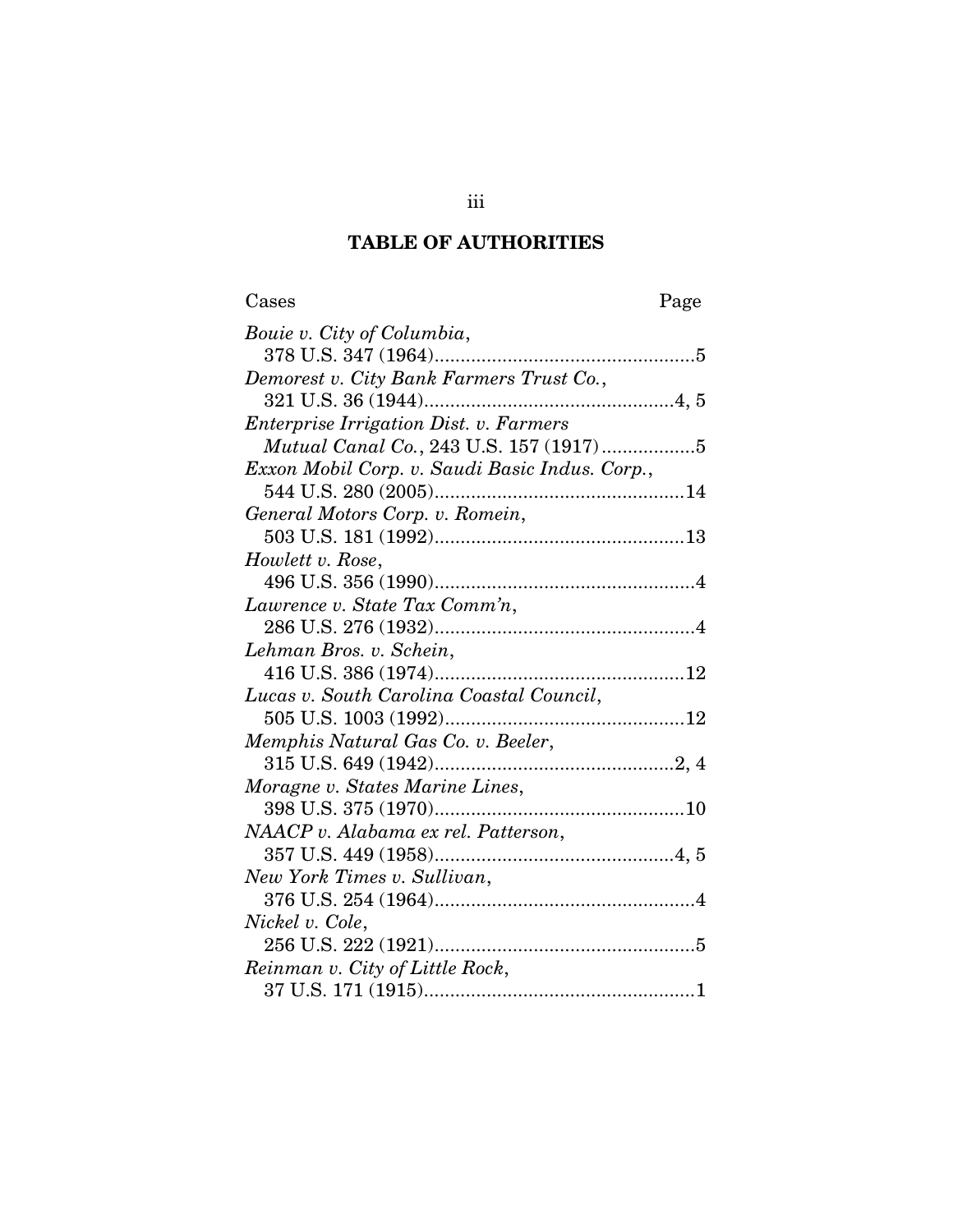## TABLE OF AUTHORITIES

| Cases                                          | Page |
|------------------------------------------------|------|
| Bouie v. City of Columbia,                     |      |
|                                                |      |
| Demorest v. City Bank Farmers Trust Co.,       |      |
|                                                |      |
| Enterprise Irrigation Dist. v. Farmers         |      |
| Mutual Canal Co., 243 U.S. 157 (1917)5         |      |
| Exxon Mobil Corp. v. Saudi Basic Indus. Corp., |      |
|                                                |      |
| General Motors Corp. v. Romein,                |      |
|                                                |      |
| Howlett v. Rose,                               |      |
|                                                |      |
| Lawrence v. State Tax Comm'n,                  |      |
|                                                |      |
| Lehman Bros. v. Schein,                        |      |
|                                                |      |
| Lucas v. South Carolina Coastal Council,       |      |
|                                                |      |
| Memphis Natural Gas Co. v. Beeler,             |      |
|                                                |      |
| Moragne v. States Marine Lines,                |      |
|                                                |      |
| NAACP v. Alabama ex rel. Patterson,            |      |
|                                                |      |
| New York Times v. Sullivan,                    |      |
|                                                |      |
| Nickel v. Cole,                                |      |
|                                                |      |
| Reinman v. City of Little Rock,                |      |
|                                                |      |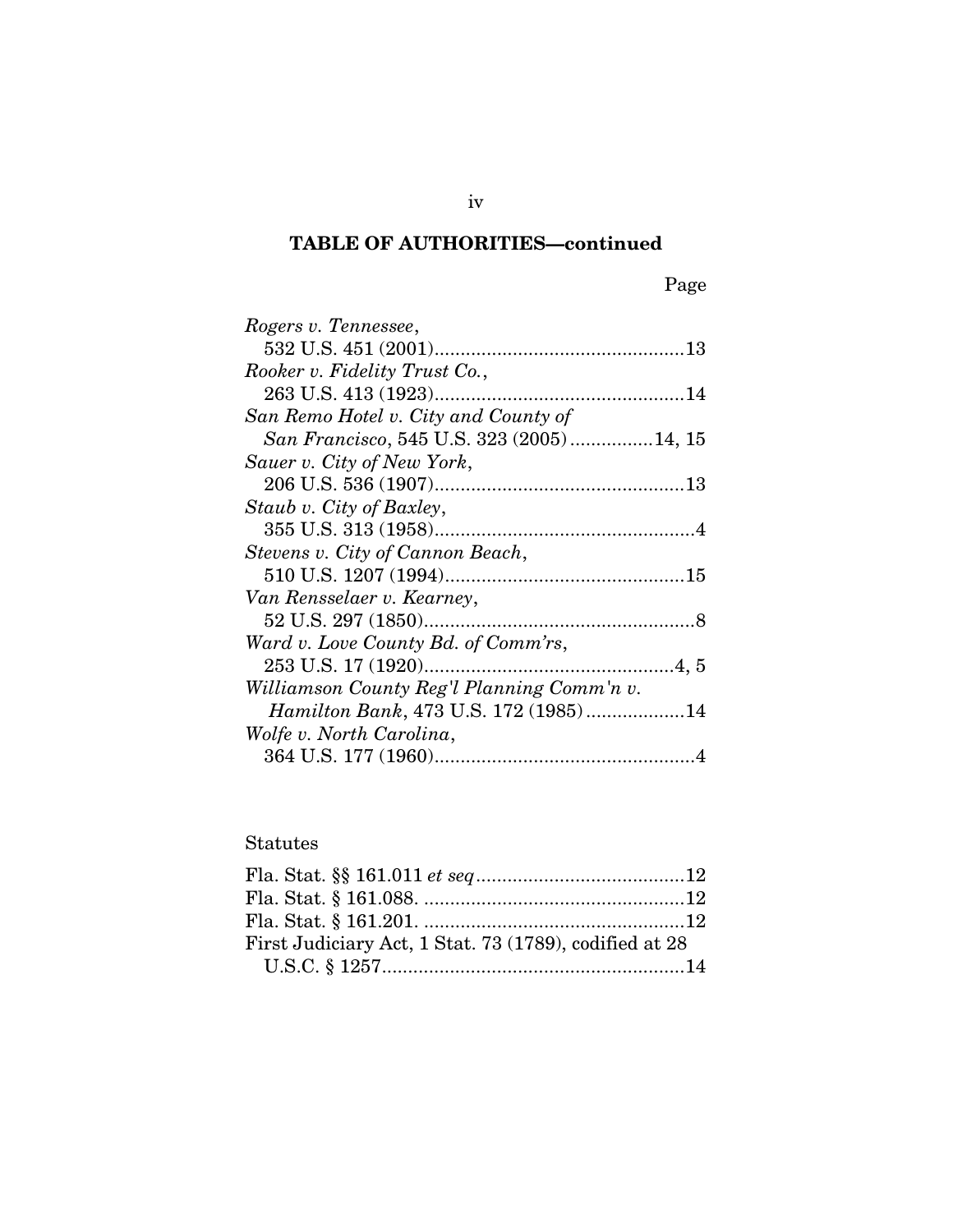# TABLE OF AUTHORITIES—continued

| Rogers v. Tennessee,                       |
|--------------------------------------------|
|                                            |
| Rooker v. Fidelity Trust Co.,              |
|                                            |
| San Remo Hotel v. City and County of       |
| San Francisco, 545 U.S. 323 (2005)14, 15   |
| Sauer v. City of New York,                 |
|                                            |
| Staub v. City of Baxley,                   |
|                                            |
| Stevens v. City of Cannon Beach,           |
|                                            |
| Van Rensselaer v. Kearney,                 |
|                                            |
| Ward v. Love County Bd. of Comm'rs,        |
|                                            |
| Williamson County Reg'l Planning Comm'n v. |
| Hamilton Bank, 473 U.S. 172 (1985)14       |
| Wolfe v. North Carolina,                   |
|                                            |

### Statutes

| First Judiciary Act, 1 Stat. 73 (1789), codified at 28 |  |
|--------------------------------------------------------|--|
|                                                        |  |

iv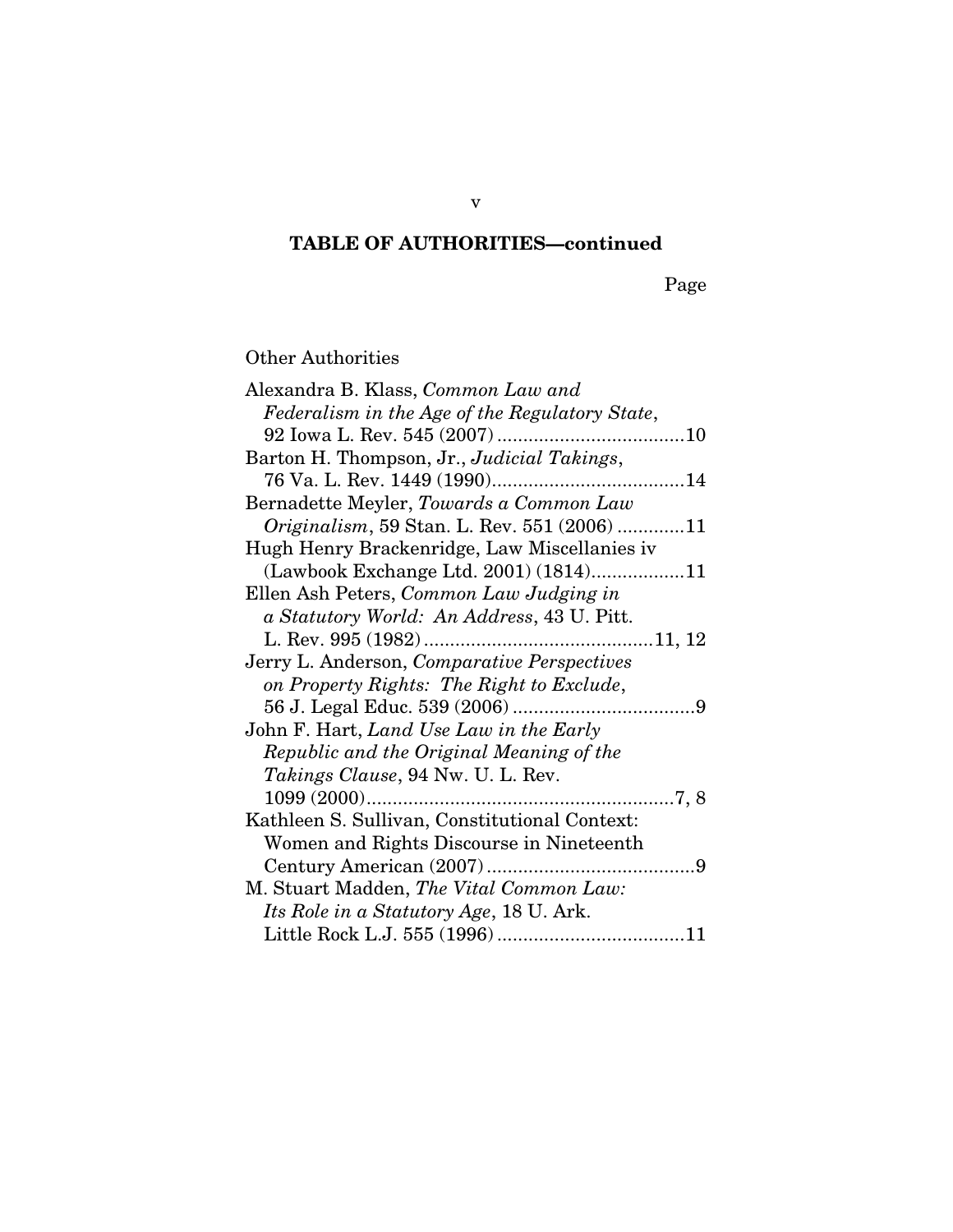# TABLE OF AUTHORITIES—continued

Page

### Other Authorities

| Alexandra B. Klass, Common Law and                  |
|-----------------------------------------------------|
| Federalism in the Age of the Regulatory State,      |
|                                                     |
| Barton H. Thompson, Jr., Judicial Takings,          |
|                                                     |
| Bernadette Meyler, Towards a Common Law             |
| <i>Originalism</i> , 59 Stan. L. Rev. 551 (2006) 11 |
| Hugh Henry Brackenridge, Law Miscellanies iv        |
| (Lawbook Exchange Ltd. 2001) (1814)11               |
| Ellen Ash Peters, Common Law Judging in             |
| a Statutory World: An Address, 43 U. Pitt.          |
|                                                     |
| Jerry L. Anderson, Comparative Perspectives         |
| on Property Rights: The Right to Exclude,           |
|                                                     |
| John F. Hart, Land Use Law in the Early             |
| Republic and the Original Meaning of the            |
| <i>Takings Clause</i> , 94 Nw. U. L. Rev.           |
|                                                     |
| Kathleen S. Sullivan, Constitutional Context:       |
| Women and Rights Discourse in Nineteenth            |
|                                                     |
| M. Stuart Madden, The Vital Common Law:             |
| Its Role in a Statutory Age, 18 U. Ark.             |
|                                                     |

v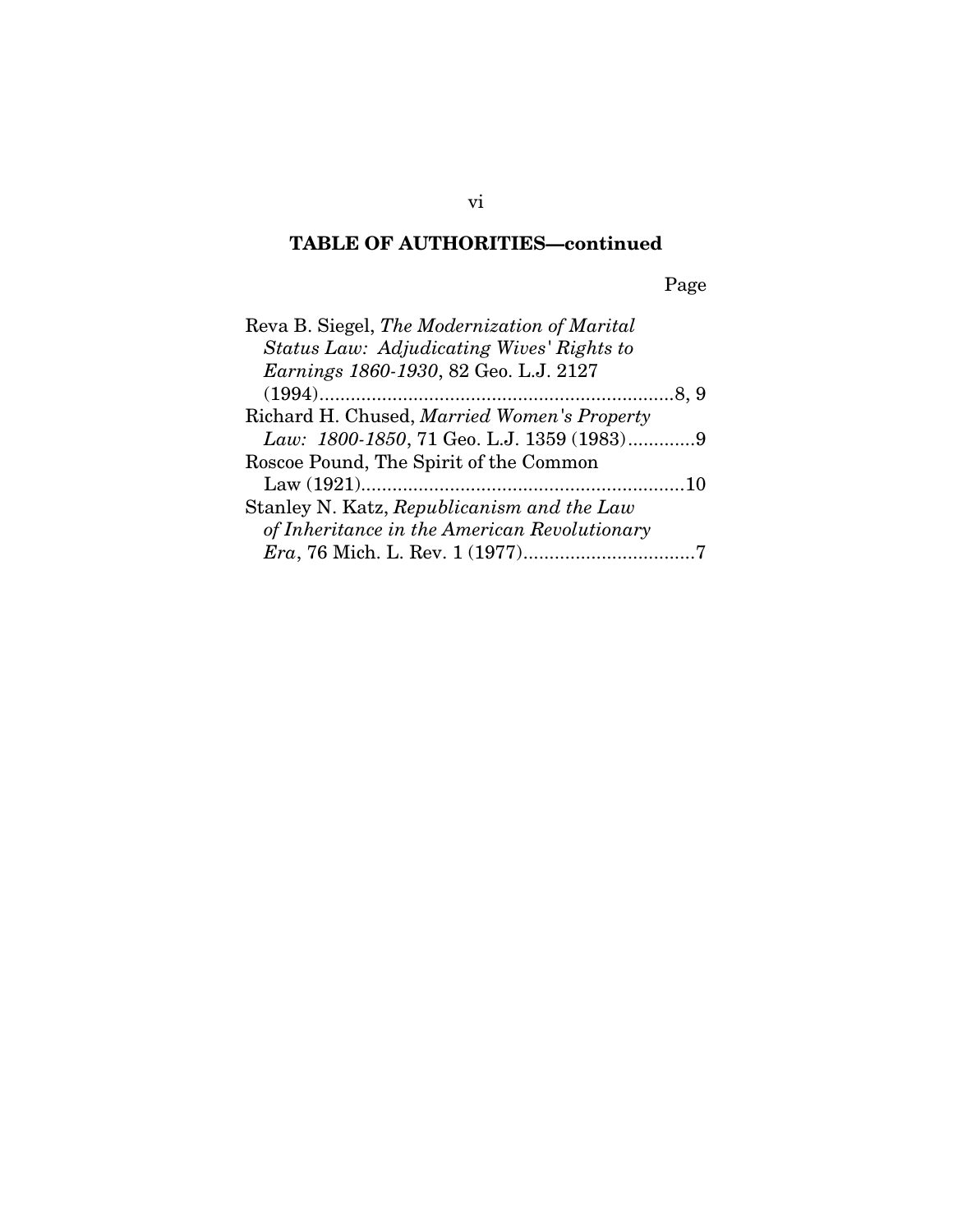## TABLE OF AUTHORITIES—continued

Page

| Reva B. Siegel, The Modernization of Marital |
|----------------------------------------------|
| Status Law: Adjudicating Wives' Rights to    |
| Earnings 1860-1930, 82 Geo. L.J. 2127        |
|                                              |
| Richard H. Chused, Married Women's Property  |
| Law: 1800-1850, 71 Geo. L.J. 1359 (1983)9    |
| Roscoe Pound, The Spirit of the Common       |
|                                              |
| Stanley N. Katz, Republicanism and the Law   |
| of Inheritance in the American Revolutionary |
|                                              |

vi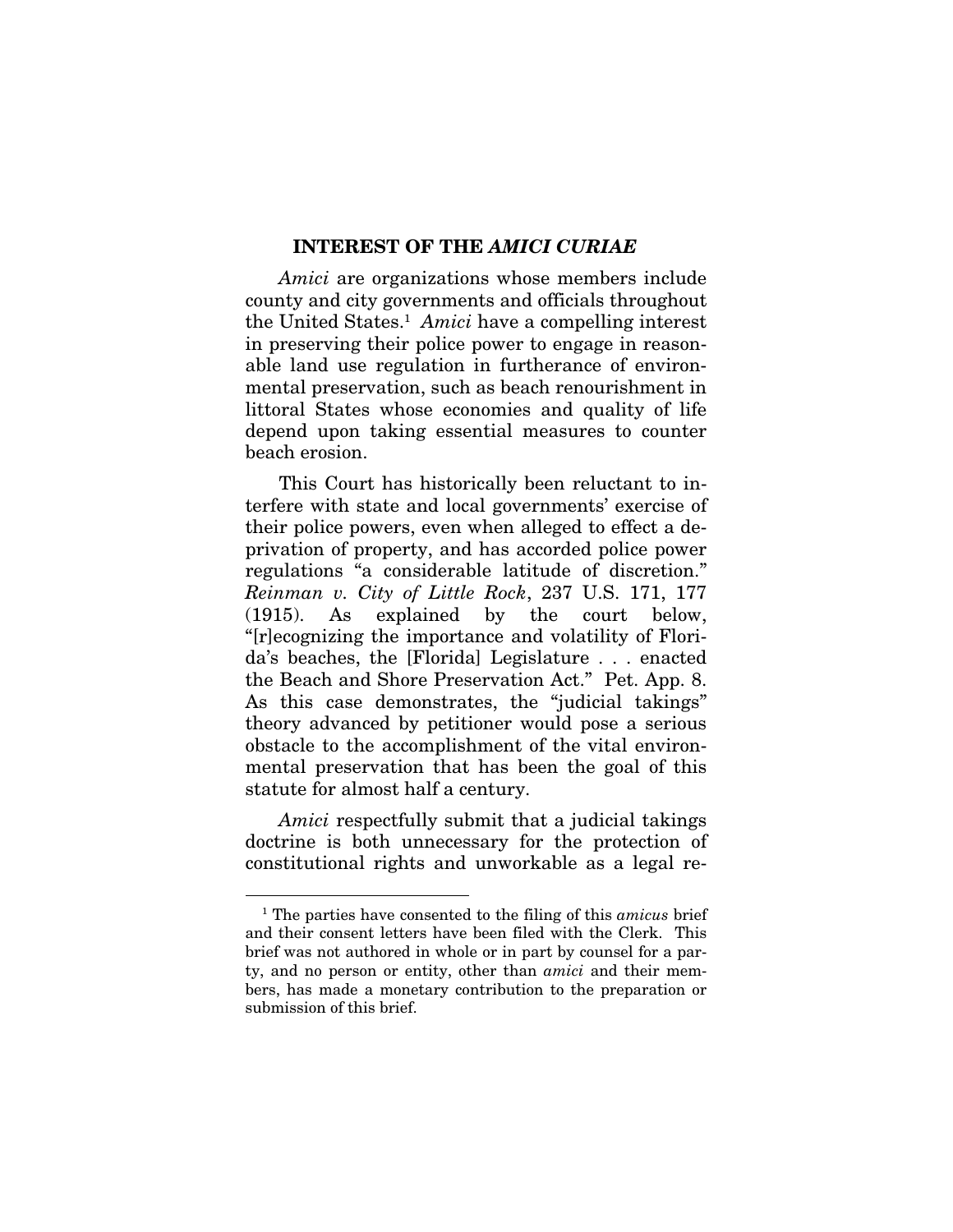#### INTEREST OF THE *AMICI CURIAE*

*Amici* are organizations whose members include county and city governments and officials throughout the United States.<sup>1</sup> Amici have a compelling interest in preserving their police power to engage in reasonable land use regulation in furtherance of environmental preservation, such as beach renourishment in littoral States whose economies and quality of life depend upon taking essential measures to counter beach erosion.

This Court has historically been reluctant to interfere with state and local governments' exercise of their police powers, even when alleged to effect a deprivation of property, and has accorded police power regulations "a considerable latitude of discretion." *Reinman v. City of Little Rock*, 237 U.S. 171, 177 (1915). As explained by the court below, "[r]ecognizing the importance and volatility of Florida's beaches, the [Florida] Legislature . . . enacted the Beach and Shore Preservation Act." Pet. App. 8. As this case demonstrates, the "judicial takings" theory advanced by petitioner would pose a serious obstacle to the accomplishment of the vital environmental preservation that has been the goal of this statute for almost half a century.

*Amici* respectfully submit that a judicial takings doctrine is both unnecessary for the protection of constitutional rights and unworkable as a legal re-

 $\overline{a}$ 

<sup>1</sup> The parties have consented to the filing of this *amicus* brief and their consent letters have been filed with the Clerk. This brief was not authored in whole or in part by counsel for a party, and no person or entity, other than *amici* and their members, has made a monetary contribution to the preparation or submission of this brief.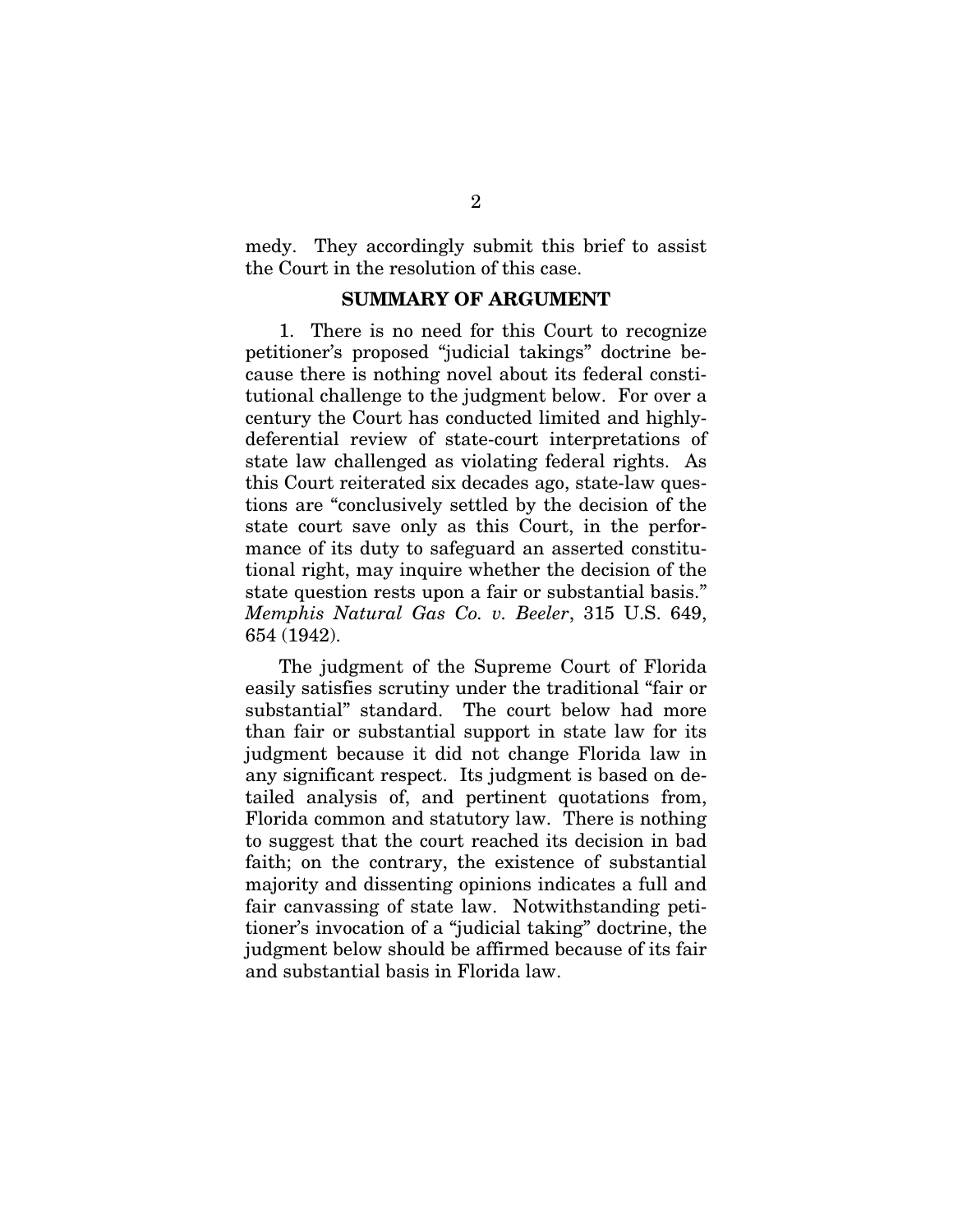medy. They accordingly submit this brief to assist the Court in the resolution of this case.

#### SUMMARY OF ARGUMENT

1. There is no need for this Court to recognize petitioner's proposed "judicial takings" doctrine because there is nothing novel about its federal constitutional challenge to the judgment below. For over a century the Court has conducted limited and highlydeferential review of state-court interpretations of state law challenged as violating federal rights. As this Court reiterated six decades ago, state-law questions are "conclusively settled by the decision of the state court save only as this Court, in the performance of its duty to safeguard an asserted constitutional right, may inquire whether the decision of the state question rests upon a fair or substantial basis." *Memphis Natural Gas Co. v. Beeler*, 315 U.S. 649, 654 (1942).

The judgment of the Supreme Court of Florida easily satisfies scrutiny under the traditional "fair or substantial" standard. The court below had more than fair or substantial support in state law for its judgment because it did not change Florida law in any significant respect. Its judgment is based on detailed analysis of, and pertinent quotations from, Florida common and statutory law. There is nothing to suggest that the court reached its decision in bad faith; on the contrary, the existence of substantial majority and dissenting opinions indicates a full and fair canvassing of state law. Notwithstanding petitioner's invocation of a "judicial taking" doctrine, the judgment below should be affirmed because of its fair and substantial basis in Florida law.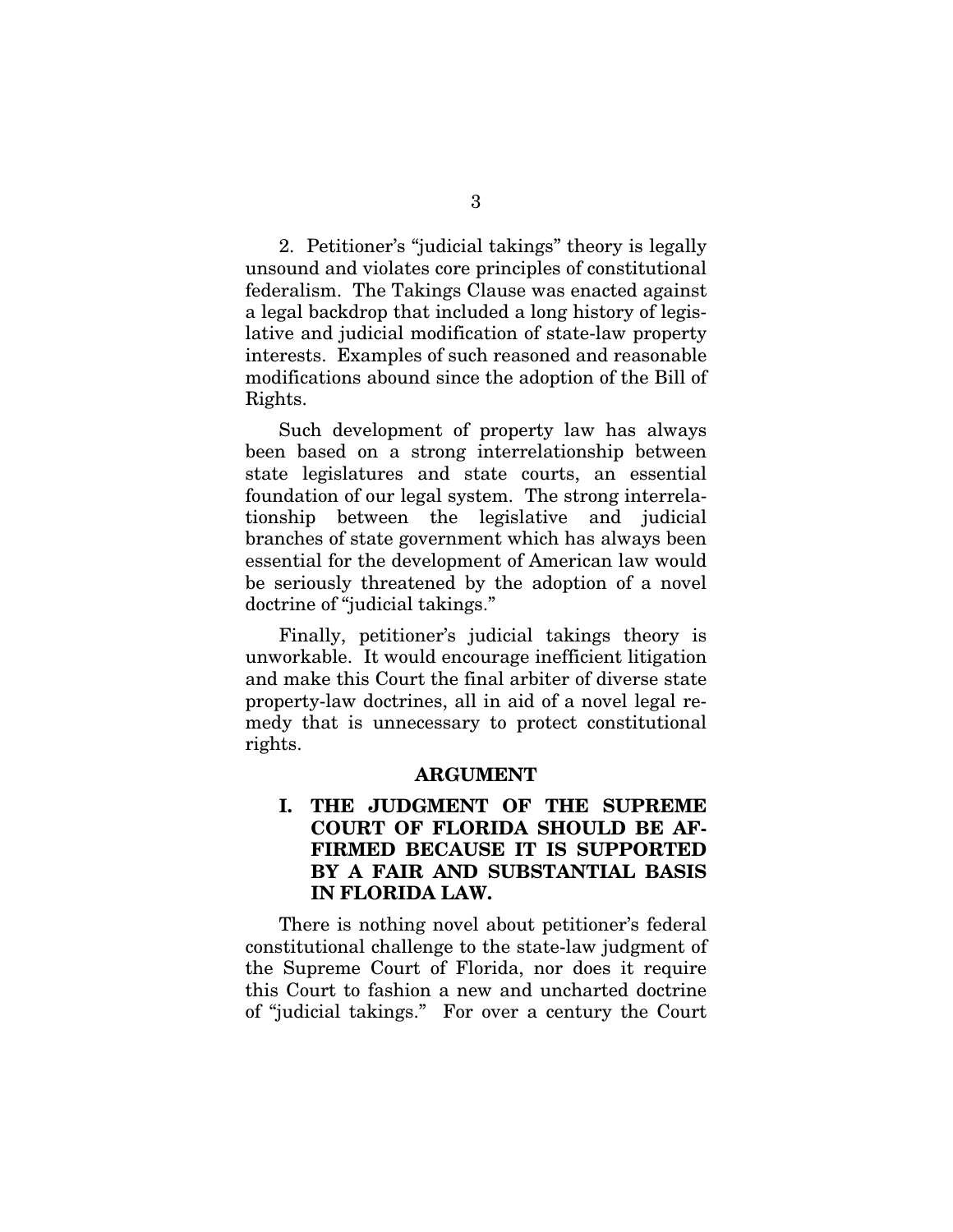2. Petitioner's "judicial takings" theory is legally unsound and violates core principles of constitutional federalism. The Takings Clause was enacted against a legal backdrop that included a long history of legislative and judicial modification of state-law property interests. Examples of such reasoned and reasonable modifications abound since the adoption of the Bill of Rights.

Such development of property law has always been based on a strong interrelationship between state legislatures and state courts, an essential foundation of our legal system. The strong interrelationship between the legislative and judicial branches of state government which has always been essential for the development of American law would be seriously threatened by the adoption of a novel doctrine of "judicial takings."

Finally, petitioner's judicial takings theory is unworkable. It would encourage inefficient litigation and make this Court the final arbiter of diverse state property-law doctrines, all in aid of a novel legal remedy that is unnecessary to protect constitutional rights.

#### ARGUMENT

### I. THE JUDGMENT OF THE SUPREME COURT OF FLORIDA SHOULD BE AF-FIRMED BECAUSE IT IS SUPPORTED BY A FAIR AND SUBSTANTIAL BASIS IN FLORIDA LAW.

There is nothing novel about petitioner's federal constitutional challenge to the state-law judgment of the Supreme Court of Florida, nor does it require this Court to fashion a new and uncharted doctrine of "judicial takings." For over a century the Court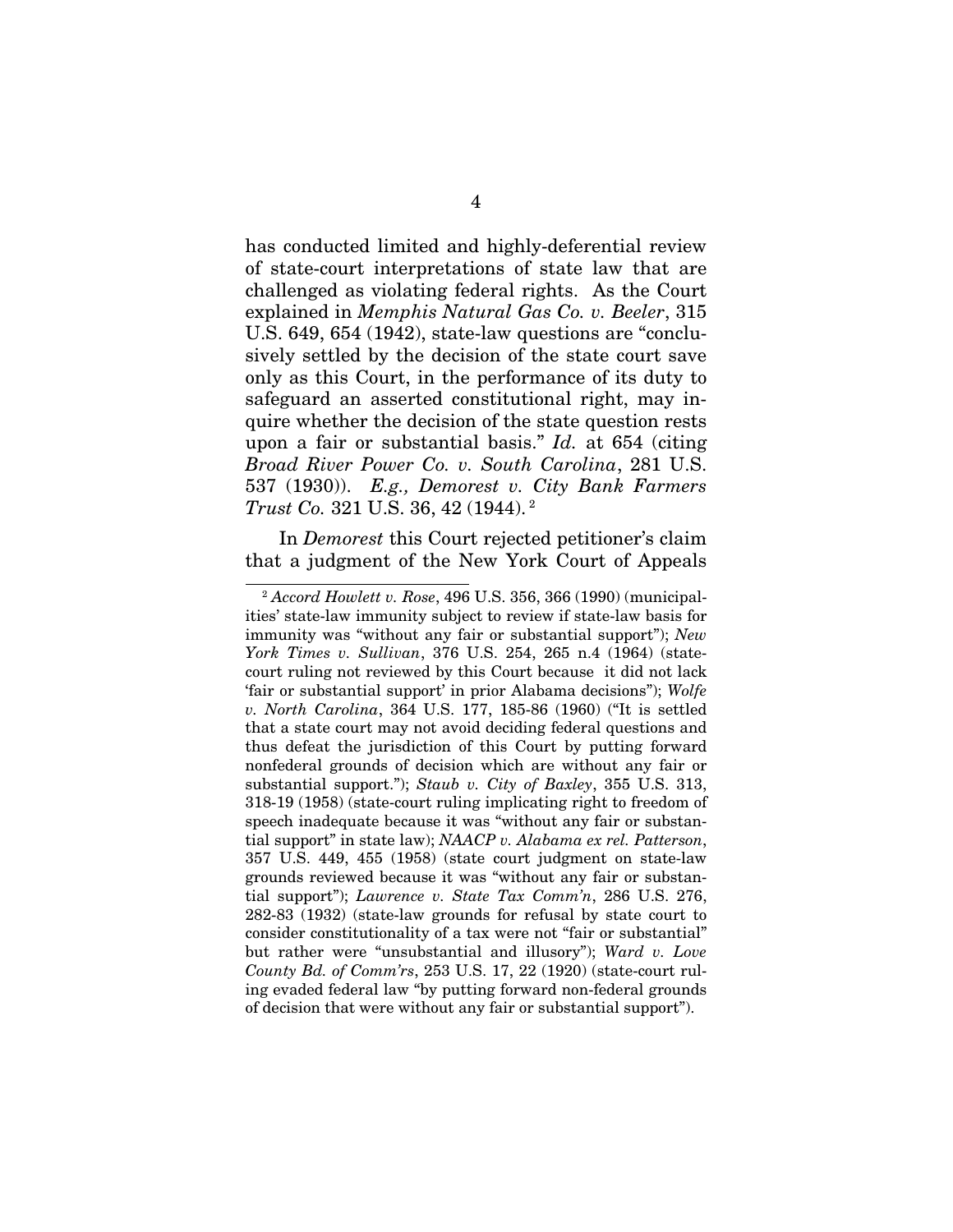has conducted limited and highly-deferential review of state-court interpretations of state law that are challenged as violating federal rights. As the Court explained in *Memphis Natural Gas Co. v. Beeler*, 315 U.S. 649, 654 (1942), state-law questions are "conclusively settled by the decision of the state court save only as this Court, in the performance of its duty to safeguard an asserted constitutional right, may inquire whether the decision of the state question rests upon a fair or substantial basis." *Id.* at 654 (citing *Broad River Power Co. v. South Carolina*, 281 U.S. 537 (1930)). *E.g., Demorest v. City Bank Farmers Trust Co.* 321 U.S. 36, 42 (1944). 2

In *Demorest* this Court rejected petitioner's claim that a judgment of the New York Court of Appeals

í

<sup>2</sup> *Accord Howlett v. Rose*, 496 U.S. 356, 366 (1990) (municipalities' state-law immunity subject to review if state-law basis for immunity was "without any fair or substantial support"); *New York Times v. Sullivan*, 376 U.S. 254, 265 n.4 (1964) (statecourt ruling not reviewed by this Court because it did not lack 'fair or substantial support' in prior Alabama decisions"); *Wolfe v. North Carolina*, 364 U.S. 177, 185-86 (1960) ("It is settled that a state court may not avoid deciding federal questions and thus defeat the jurisdiction of this Court by putting forward nonfederal grounds of decision which are without any fair or substantial support."); *Staub v. City of Baxley*, 355 U.S. 313, 318-19 (1958) (state-court ruling implicating right to freedom of speech inadequate because it was "without any fair or substantial support" in state law); *NAACP v. Alabama ex rel. Patterson*, 357 U.S. 449, 455 (1958) (state court judgment on state-law grounds reviewed because it was "without any fair or substantial support"); *Lawrence v. State Tax Comm'n*, 286 U.S. 276, 282-83 (1932) (state-law grounds for refusal by state court to consider constitutionality of a tax were not "fair or substantial" but rather were "unsubstantial and illusory"); *Ward v. Love County Bd. of Comm'rs*, 253 U.S. 17, 22 (1920) (state-court ruling evaded federal law "by putting forward non-federal grounds of decision that were without any fair or substantial support").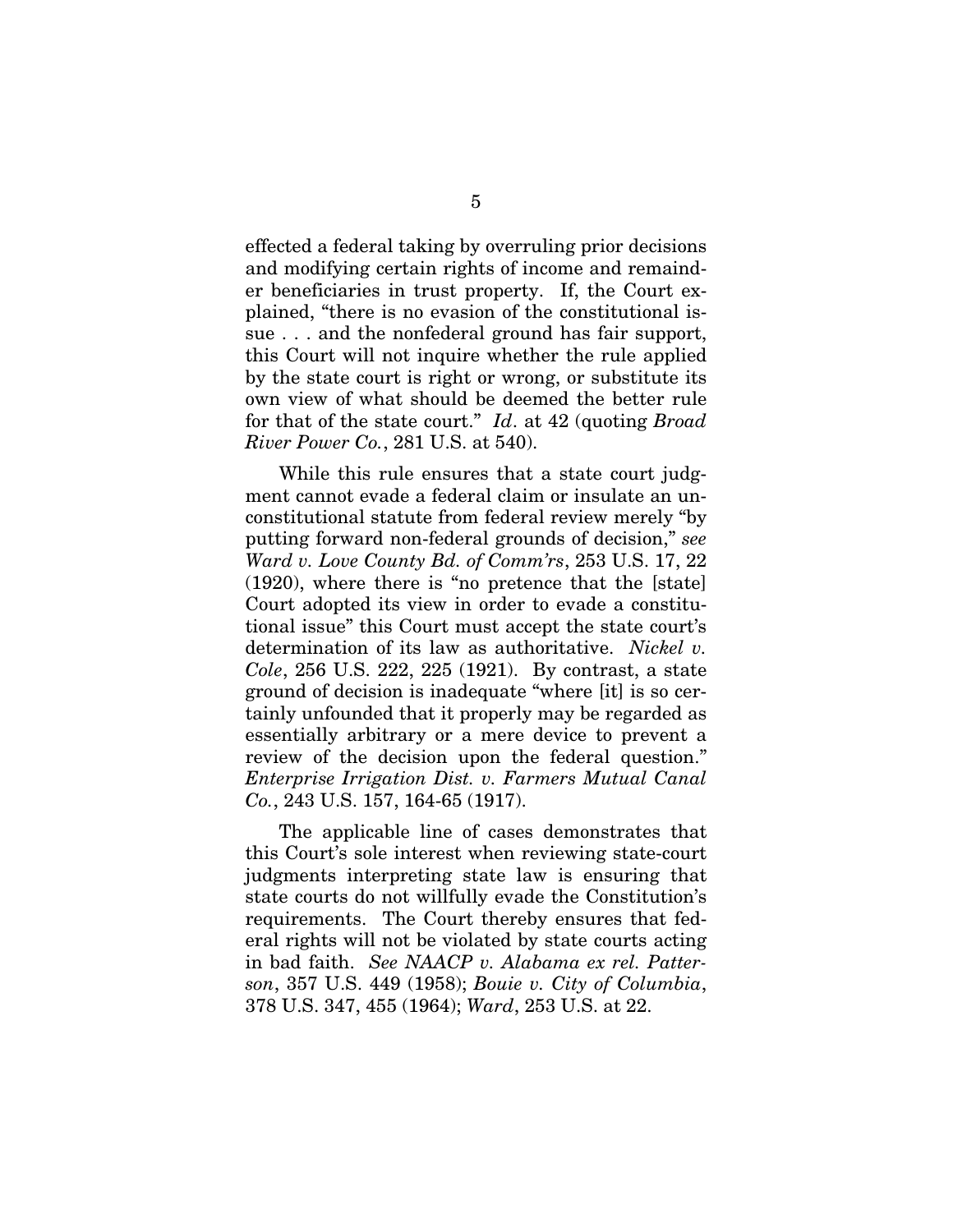effected a federal taking by overruling prior decisions and modifying certain rights of income and remainder beneficiaries in trust property. If, the Court explained, "there is no evasion of the constitutional issue . . . and the nonfederal ground has fair support, this Court will not inquire whether the rule applied by the state court is right or wrong, or substitute its own view of what should be deemed the better rule for that of the state court." *Id*. at 42 (quoting *Broad River Power Co.*, 281 U.S. at 540).

While this rule ensures that a state court judgment cannot evade a federal claim or insulate an unconstitutional statute from federal review merely "by putting forward non-federal grounds of decision," *see Ward v. Love County Bd. of Comm'rs*, 253 U.S. 17, 22 (1920), where there is "no pretence that the [state] Court adopted its view in order to evade a constitutional issue" this Court must accept the state court's determination of its law as authoritative. *Nickel v. Cole*, 256 U.S. 222, 225 (1921). By contrast, a state ground of decision is inadequate "where [it] is so certainly unfounded that it properly may be regarded as essentially arbitrary or a mere device to prevent a review of the decision upon the federal question." *Enterprise Irrigation Dist. v. Farmers Mutual Canal Co.*, 243 U.S. 157, 164-65 (1917).

The applicable line of cases demonstrates that this Court's sole interest when reviewing state-court judgments interpreting state law is ensuring that state courts do not willfully evade the Constitution's requirements. The Court thereby ensures that federal rights will not be violated by state courts acting in bad faith. *See NAACP v. Alabama ex rel. Patterson*, 357 U.S. 449 (1958); *Bouie v. City of Columbia*, 378 U.S. 347, 455 (1964); *Ward*, 253 U.S. at 22.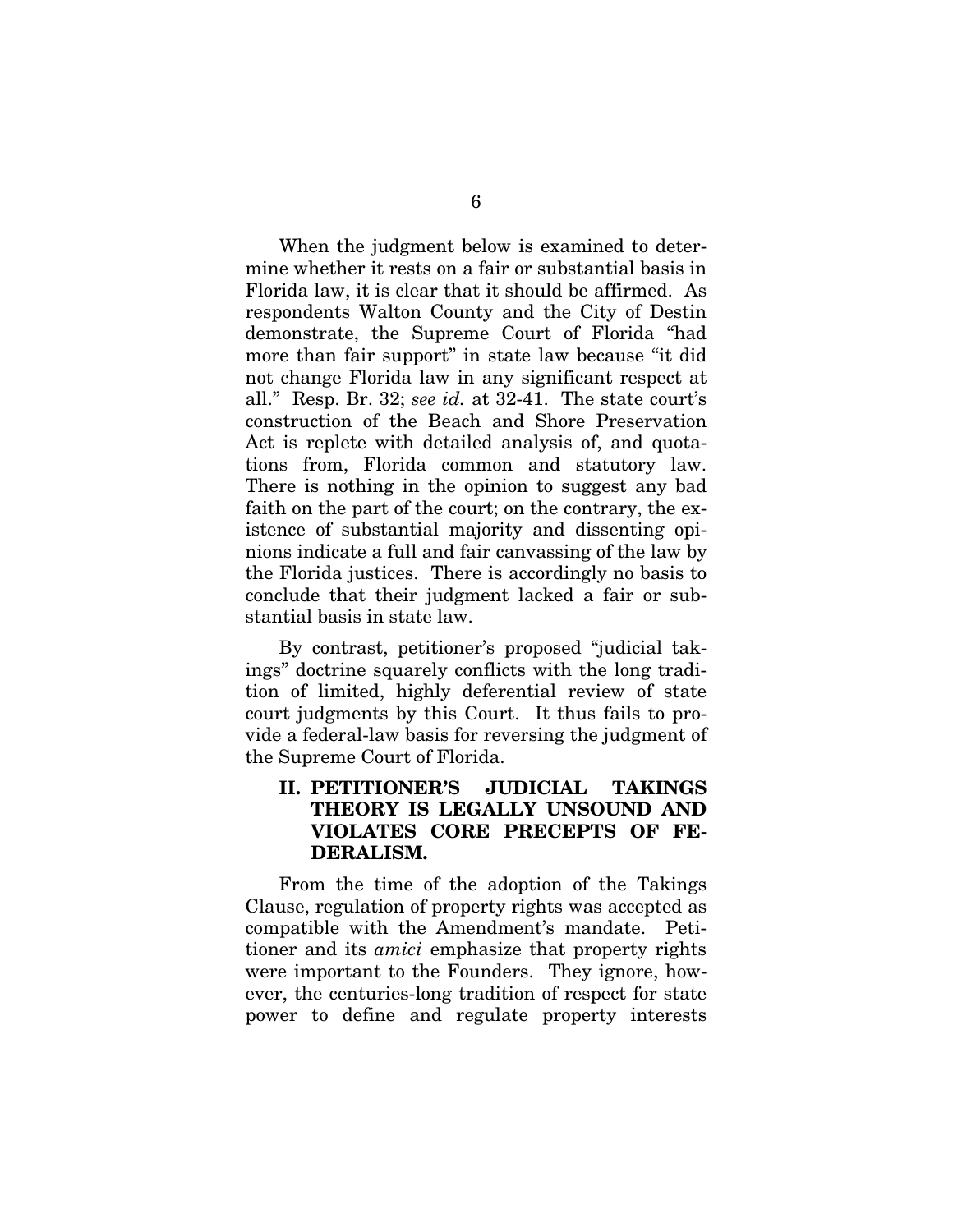When the judgment below is examined to determine whether it rests on a fair or substantial basis in Florida law, it is clear that it should be affirmed. As respondents Walton County and the City of Destin demonstrate, the Supreme Court of Florida "had more than fair support" in state law because "it did not change Florida law in any significant respect at all." Resp. Br. 32; *see id.* at 32-41. The state court's construction of the Beach and Shore Preservation Act is replete with detailed analysis of, and quotations from, Florida common and statutory law. There is nothing in the opinion to suggest any bad faith on the part of the court; on the contrary, the existence of substantial majority and dissenting opinions indicate a full and fair canvassing of the law by the Florida justices. There is accordingly no basis to conclude that their judgment lacked a fair or substantial basis in state law.

By contrast, petitioner's proposed "judicial takings" doctrine squarely conflicts with the long tradition of limited, highly deferential review of state court judgments by this Court. It thus fails to provide a federal-law basis for reversing the judgment of the Supreme Court of Florida.

### II. PETITIONER'S JUDICIAL TAKINGS THEORY IS LEGALLY UNSOUND AND VIOLATES CORE PRECEPTS OF FE-DERALISM.

From the time of the adoption of the Takings Clause, regulation of property rights was accepted as compatible with the Amendment's mandate. Petitioner and its *amici* emphasize that property rights were important to the Founders. They ignore, however, the centuries-long tradition of respect for state power to define and regulate property interests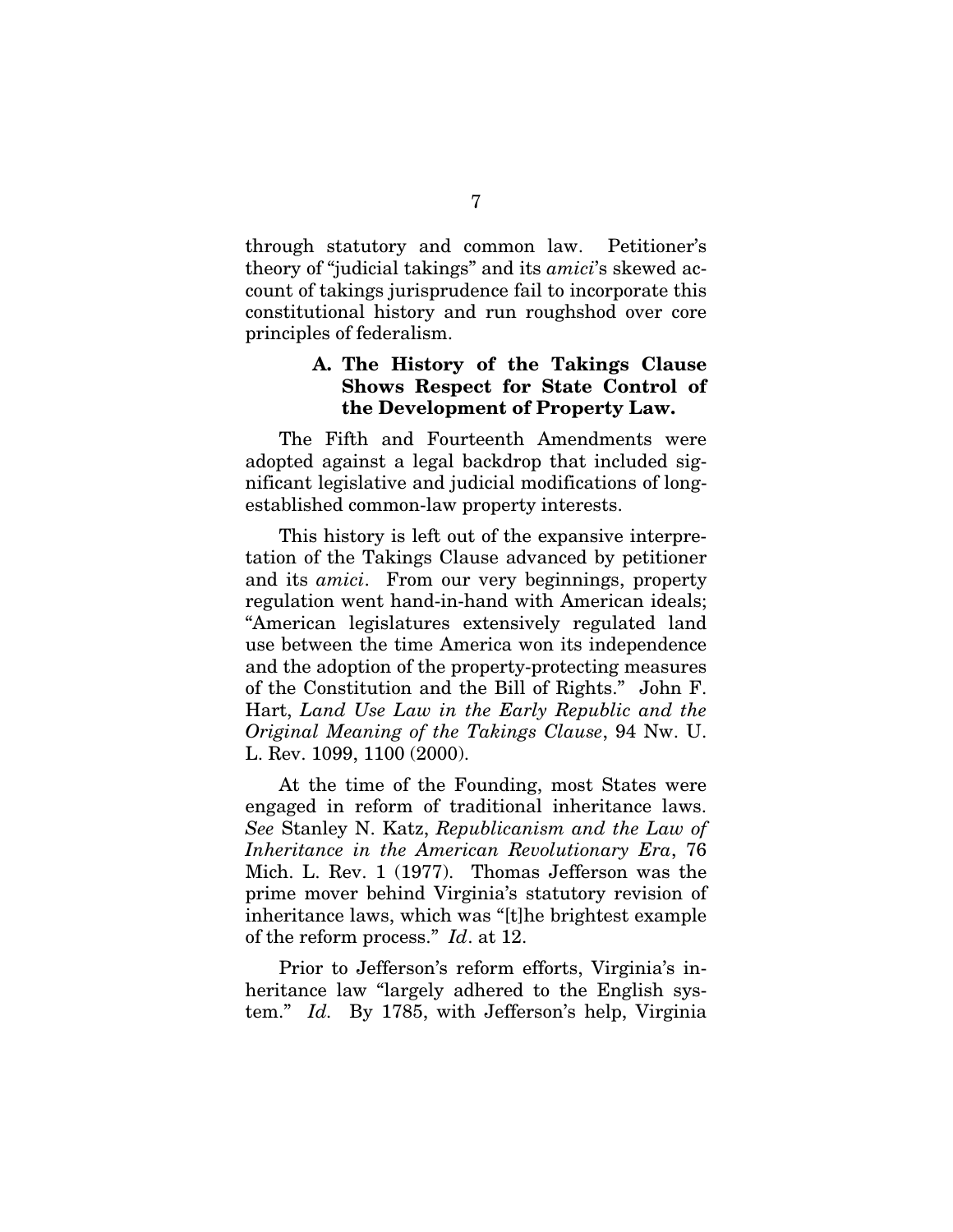through statutory and common law. Petitioner's theory of "judicial takings" and its *amici*'s skewed account of takings jurisprudence fail to incorporate this constitutional history and run roughshod over core principles of federalism.

#### A. The History of the Takings Clause Shows Respect for State Control of the Development of Property Law.

The Fifth and Fourteenth Amendments were adopted against a legal backdrop that included significant legislative and judicial modifications of longestablished common-law property interests.

This history is left out of the expansive interpretation of the Takings Clause advanced by petitioner and its *amici*. From our very beginnings, property regulation went hand-in-hand with American ideals; "American legislatures extensively regulated land use between the time America won its independence and the adoption of the property-protecting measures of the Constitution and the Bill of Rights." John F. Hart, *Land Use Law in the Early Republic and the Original Meaning of the Takings Clause*, 94 Nw. U. L. Rev. 1099, 1100 (2000).

At the time of the Founding, most States were engaged in reform of traditional inheritance laws. *See* Stanley N. Katz, *Republicanism and the Law of Inheritance in the American Revolutionary Era*, 76 Mich. L. Rev. 1 (1977). Thomas Jefferson was the prime mover behind Virginia's statutory revision of inheritance laws, which was "[t]he brightest example of the reform process." *Id*. at 12.

Prior to Jefferson's reform efforts, Virginia's inheritance law "largely adhered to the English system." *Id.* By 1785, with Jefferson's help, Virginia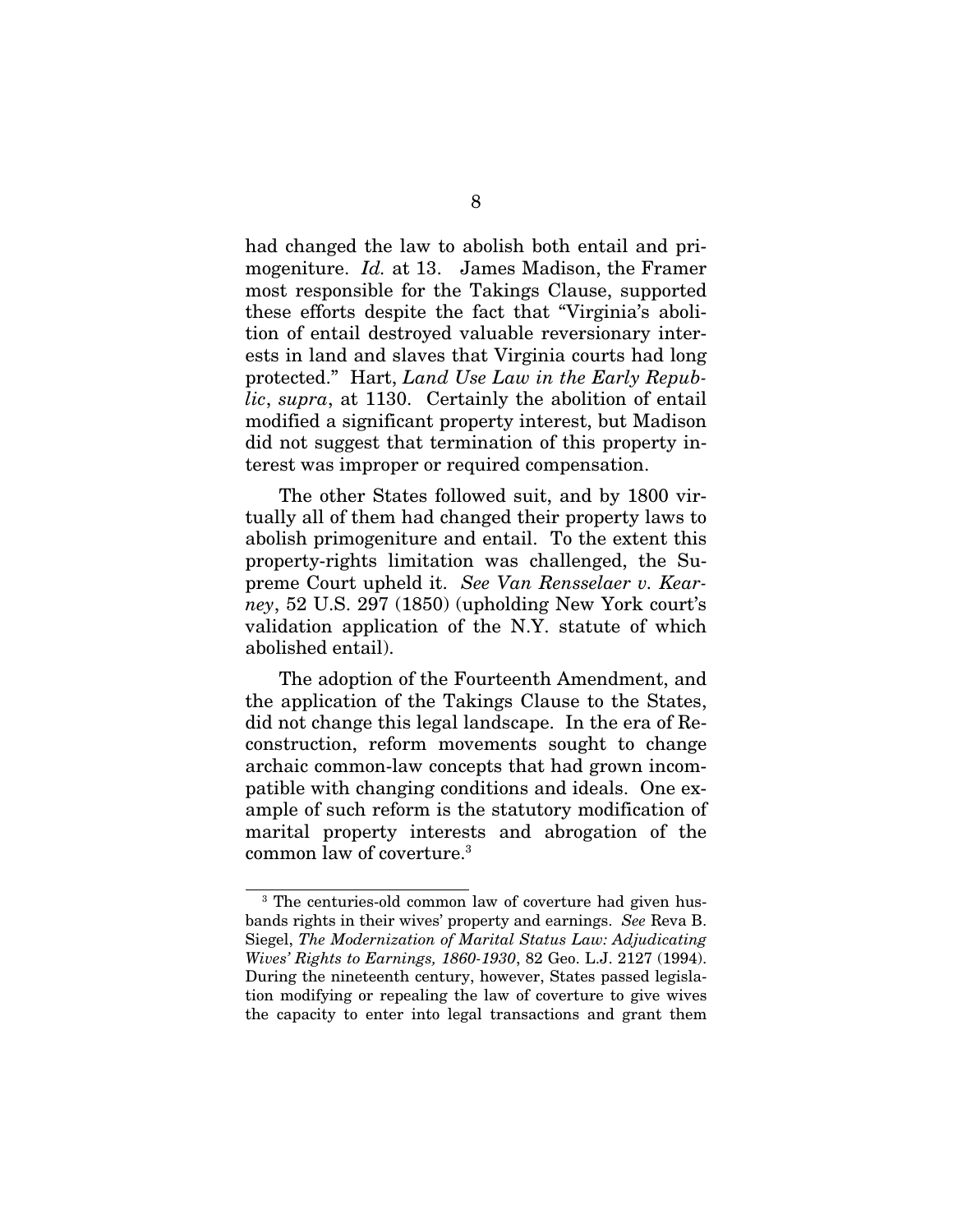had changed the law to abolish both entail and primogeniture. *Id.* at 13. James Madison, the Framer most responsible for the Takings Clause, supported these efforts despite the fact that "Virginia's abolition of entail destroyed valuable reversionary interests in land and slaves that Virginia courts had long protected." Hart, *Land Use Law in the Early Republic*, *supra*, at 1130. Certainly the abolition of entail modified a significant property interest, but Madison did not suggest that termination of this property interest was improper or required compensation.

The other States followed suit, and by 1800 virtually all of them had changed their property laws to abolish primogeniture and entail. To the extent this property-rights limitation was challenged, the Supreme Court upheld it. *See Van Rensselaer v. Kearney*, 52 U.S. 297 (1850) (upholding New York court's validation application of the N.Y. statute of which abolished entail).

The adoption of the Fourteenth Amendment, and the application of the Takings Clause to the States, did not change this legal landscape. In the era of Reconstruction, reform movements sought to change archaic common-law concepts that had grown incompatible with changing conditions and ideals. One example of such reform is the statutory modification of marital property interests and abrogation of the common law of coverture.3

 $\overline{\phantom{a}}$ 

<sup>&</sup>lt;sup>3</sup> The centuries-old common law of coverture had given husbands rights in their wives' property and earnings. *See* Reva B. Siegel, *The Modernization of Marital Status Law: Adjudicating Wives' Rights to Earnings, 1860-1930*, 82 Geo. L.J. 2127 (1994). During the nineteenth century, however, States passed legislation modifying or repealing the law of coverture to give wives the capacity to enter into legal transactions and grant them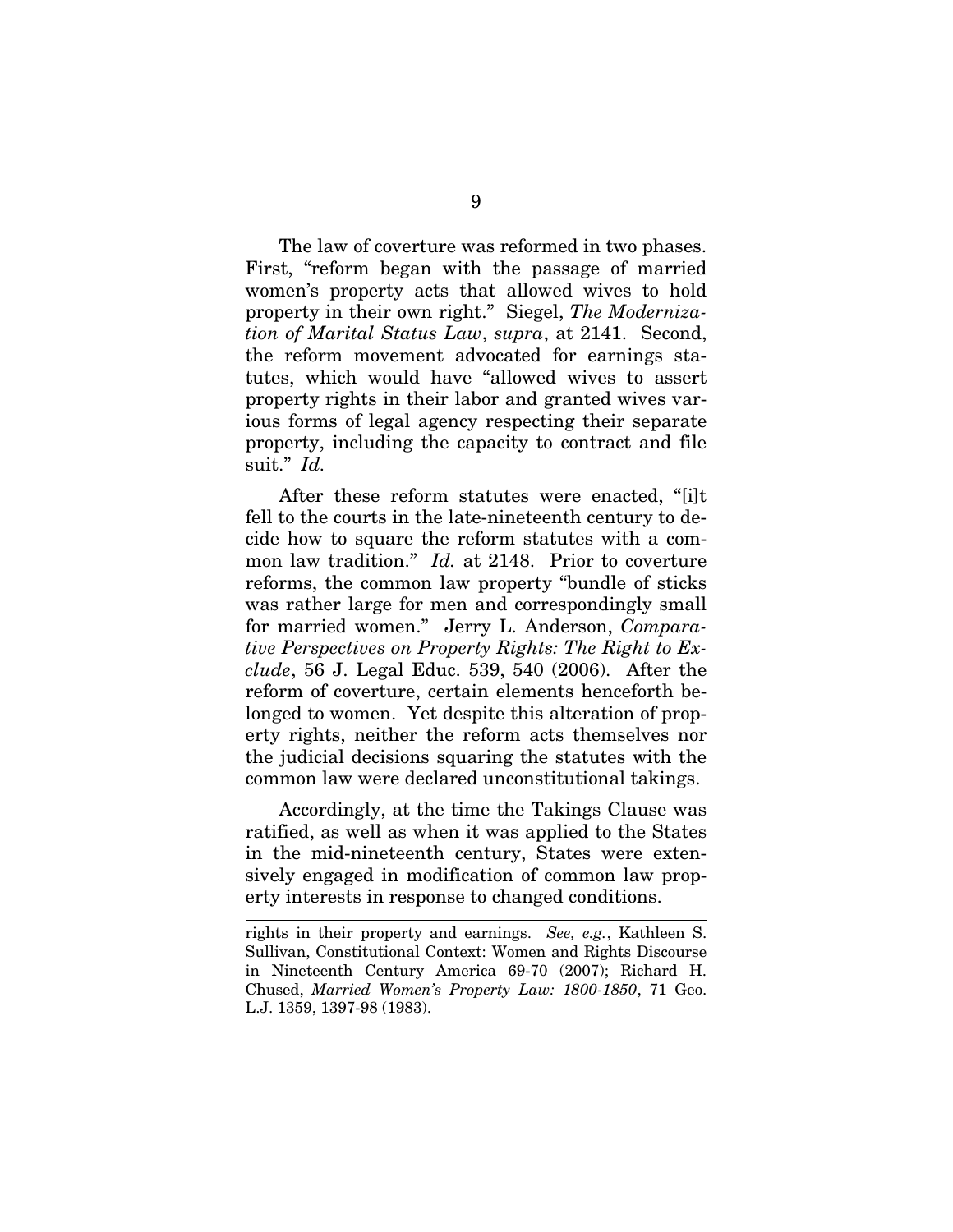The law of coverture was reformed in two phases. First, "reform began with the passage of married women's property acts that allowed wives to hold property in their own right." Siegel, *The Modernization of Marital Status Law*, *supra*, at 2141. Second, the reform movement advocated for earnings statutes, which would have "allowed wives to assert property rights in their labor and granted wives various forms of legal agency respecting their separate property, including the capacity to contract and file suit." *Id.* 

After these reform statutes were enacted, "[i]t fell to the courts in the late-nineteenth century to decide how to square the reform statutes with a common law tradition." *Id.* at 2148. Prior to coverture reforms, the common law property "bundle of sticks was rather large for men and correspondingly small for married women." Jerry L. Anderson, *Comparative Perspectives on Property Rights: The Right to Exclude*, 56 J. Legal Educ. 539, 540 (2006). After the reform of coverture, certain elements henceforth belonged to women. Yet despite this alteration of property rights, neither the reform acts themselves nor the judicial decisions squaring the statutes with the common law were declared unconstitutional takings.

Accordingly, at the time the Takings Clause was ratified, as well as when it was applied to the States in the mid-nineteenth century, States were extensively engaged in modification of common law property interests in response to changed conditions.

í

rights in their property and earnings. *See, e.g.*, Kathleen S. Sullivan, Constitutional Context: Women and Rights Discourse in Nineteenth Century America 69-70 (2007); Richard H. Chused, *Married Women's Property Law: 1800-1850*, 71 Geo. L.J. 1359, 1397-98 (1983).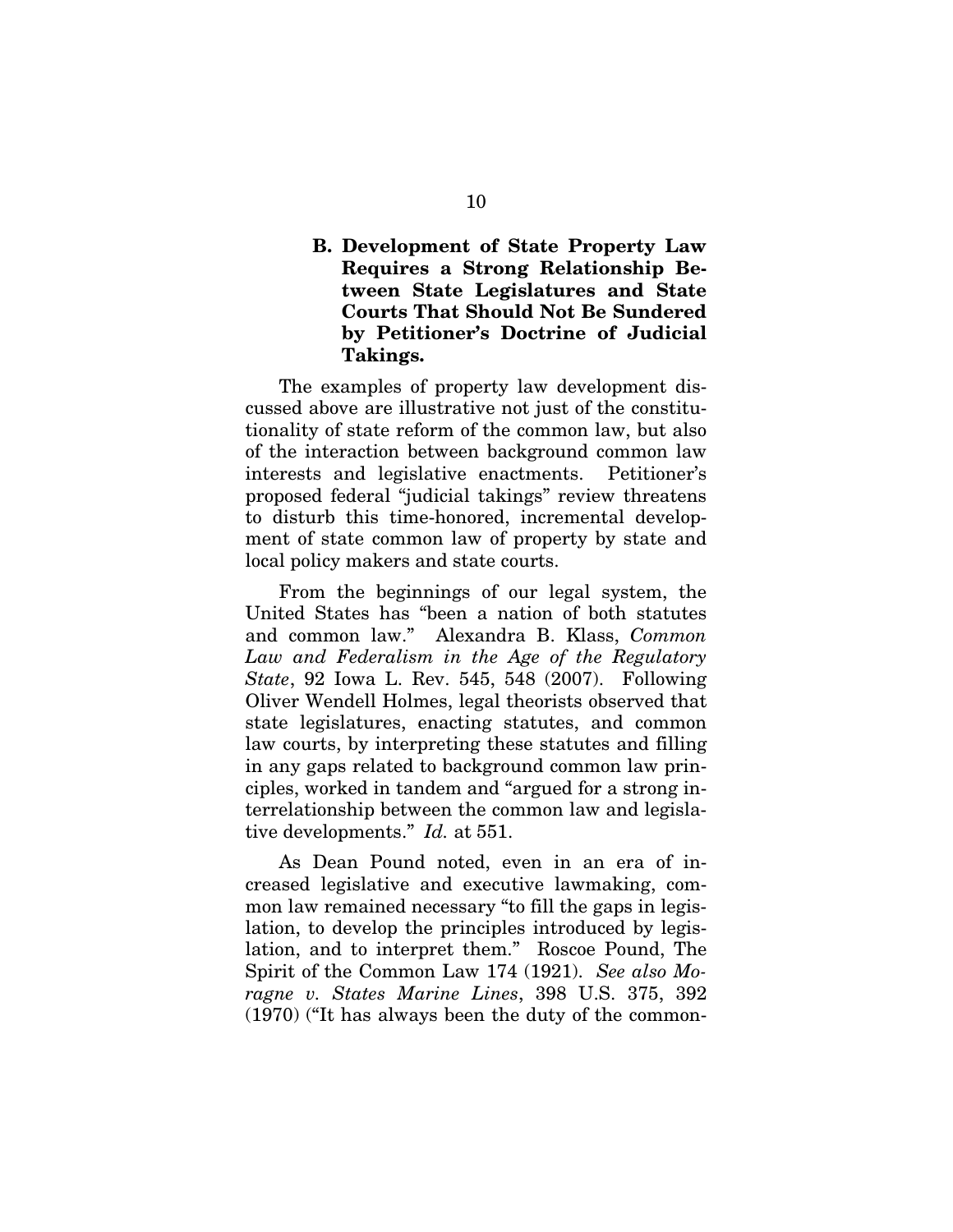### B. Development of State Property Law Requires a Strong Relationship Between State Legislatures and State Courts That Should Not Be Sundered by Petitioner's Doctrine of Judicial Takings.

The examples of property law development discussed above are illustrative not just of the constitutionality of state reform of the common law, but also of the interaction between background common law interests and legislative enactments. Petitioner's proposed federal "judicial takings" review threatens to disturb this time-honored, incremental development of state common law of property by state and local policy makers and state courts.

From the beginnings of our legal system, the United States has "been a nation of both statutes and common law." Alexandra B. Klass, *Common Law and Federalism in the Age of the Regulatory State*, 92 Iowa L. Rev. 545, 548 (2007). Following Oliver Wendell Holmes, legal theorists observed that state legislatures, enacting statutes, and common law courts, by interpreting these statutes and filling in any gaps related to background common law principles, worked in tandem and "argued for a strong interrelationship between the common law and legislative developments." *Id.* at 551.

As Dean Pound noted, even in an era of increased legislative and executive lawmaking, common law remained necessary "to fill the gaps in legislation, to develop the principles introduced by legislation, and to interpret them." Roscoe Pound, The Spirit of the Common Law 174 (1921). *See also Moragne v. States Marine Lines*, 398 U.S. 375, 392 (1970) ("It has always been the duty of the common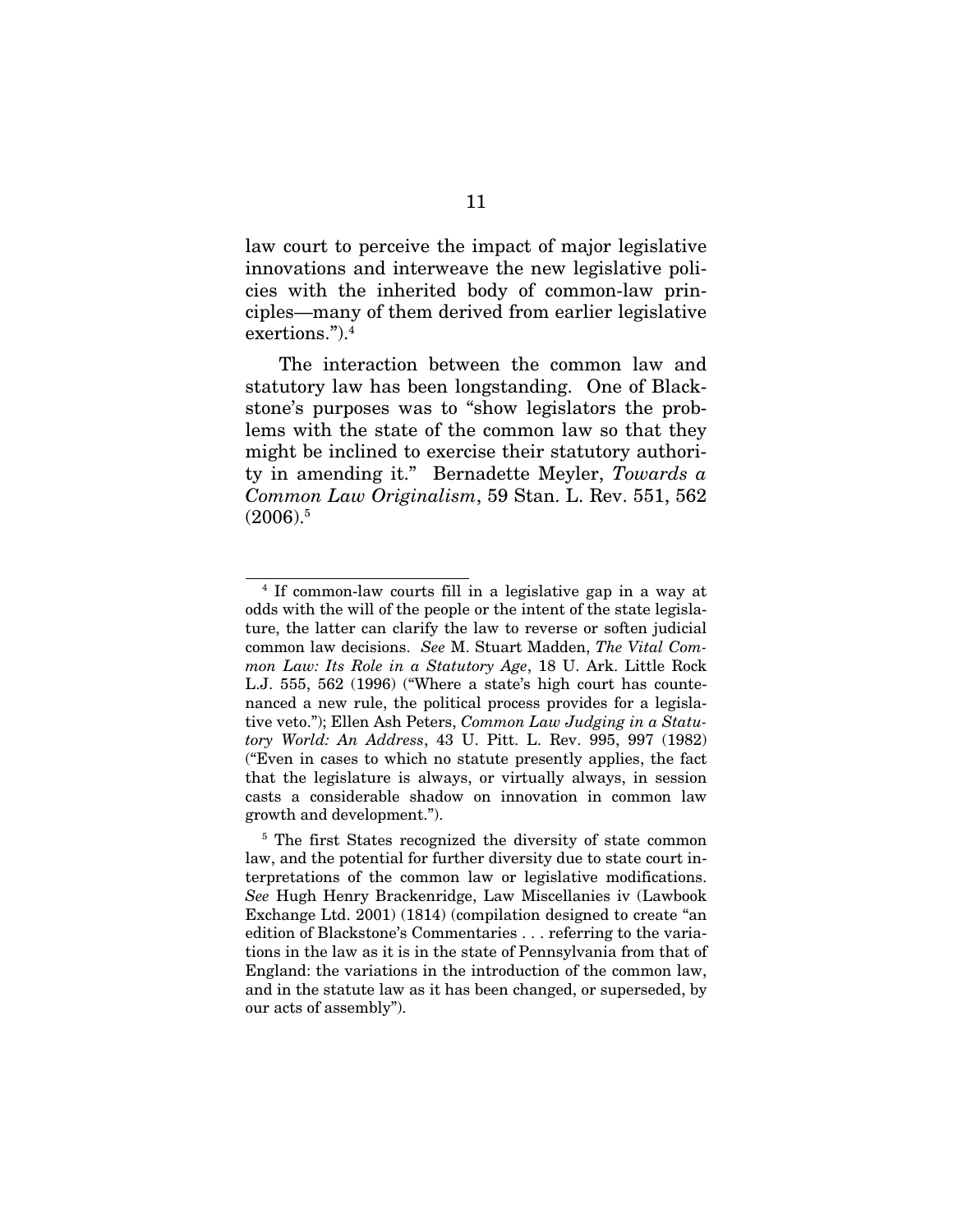law court to perceive the impact of major legislative innovations and interweave the new legislative policies with the inherited body of common-law principles—many of them derived from earlier legislative exertions.").4

The interaction between the common law and statutory law has been longstanding. One of Blackstone's purposes was to "show legislators the problems with the state of the common law so that they might be inclined to exercise their statutory authority in amending it." Bernadette Meyler, *Towards a Common Law Originalism*, 59 Stan. L. Rev. 551, 562  $(2006).5$ 

 $\overline{a}$ 

<sup>4</sup> If common-law courts fill in a legislative gap in a way at odds with the will of the people or the intent of the state legislature, the latter can clarify the law to reverse or soften judicial common law decisions. *See* M. Stuart Madden, *The Vital Common Law: Its Role in a Statutory Age*, 18 U. Ark. Little Rock L.J. 555, 562 (1996) ("Where a state's high court has countenanced a new rule, the political process provides for a legislative veto."); Ellen Ash Peters, *Common Law Judging in a Statutory World: An Address*, 43 U. Pitt. L. Rev. 995, 997 (1982) ("Even in cases to which no statute presently applies, the fact that the legislature is always, or virtually always, in session casts a considerable shadow on innovation in common law growth and development.").

<sup>&</sup>lt;sup>5</sup> The first States recognized the diversity of state common law, and the potential for further diversity due to state court interpretations of the common law or legislative modifications. *See* Hugh Henry Brackenridge, Law Miscellanies iv (Lawbook Exchange Ltd. 2001) (1814) (compilation designed to create "an edition of Blackstone's Commentaries . . . referring to the variations in the law as it is in the state of Pennsylvania from that of England: the variations in the introduction of the common law, and in the statute law as it has been changed, or superseded, by our acts of assembly").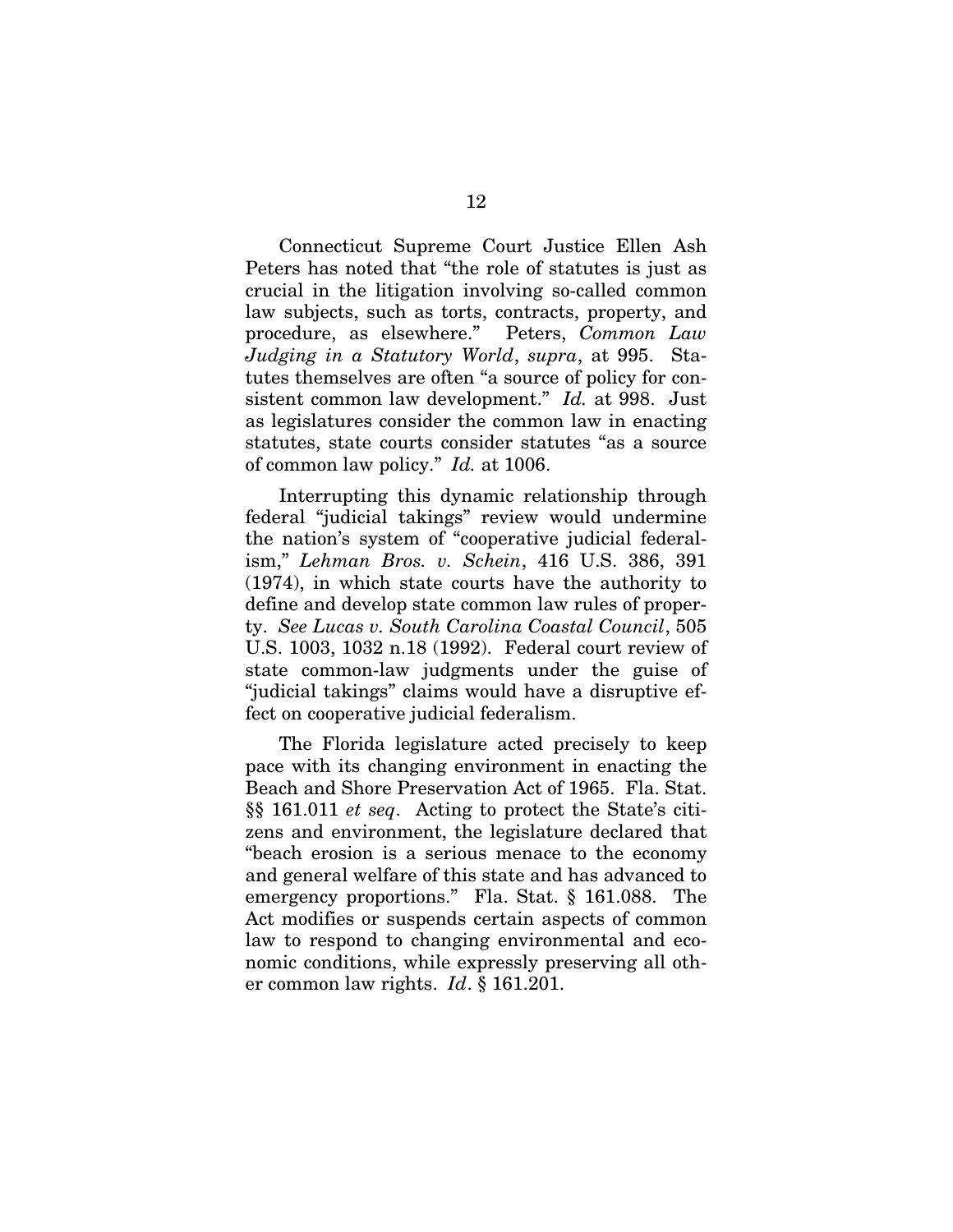Connecticut Supreme Court Justice Ellen Ash Peters has noted that "the role of statutes is just as crucial in the litigation involving so-called common law subjects, such as torts, contracts, property, and procedure, as elsewhere." Peters, *Common Law Judging in a Statutory World*, *supra*, at 995.Statutes themselves are often "a source of policy for consistent common law development." *Id.* at 998. Just as legislatures consider the common law in enacting statutes, state courts consider statutes "as a source of common law policy." *Id.* at 1006.

Interrupting this dynamic relationship through federal "judicial takings" review would undermine the nation's system of "cooperative judicial federalism," *Lehman Bros. v. Schein*, 416 U.S. 386, 391 (1974), in which state courts have the authority to define and develop state common law rules of property. *See Lucas v. South Carolina Coastal Council*, 505 U.S. 1003, 1032 n.18 (1992). Federal court review of state common-law judgments under the guise of "judicial takings" claims would have a disruptive effect on cooperative judicial federalism.

The Florida legislature acted precisely to keep pace with its changing environment in enacting the Beach and Shore Preservation Act of 1965. Fla. Stat. §§ 161.011 *et seq*. Acting to protect the State's citizens and environment, the legislature declared that "beach erosion is a serious menace to the economy and general welfare of this state and has advanced to emergency proportions." Fla. Stat. § 161.088. The Act modifies or suspends certain aspects of common law to respond to changing environmental and economic conditions, while expressly preserving all other common law rights. *Id*. § 161.201.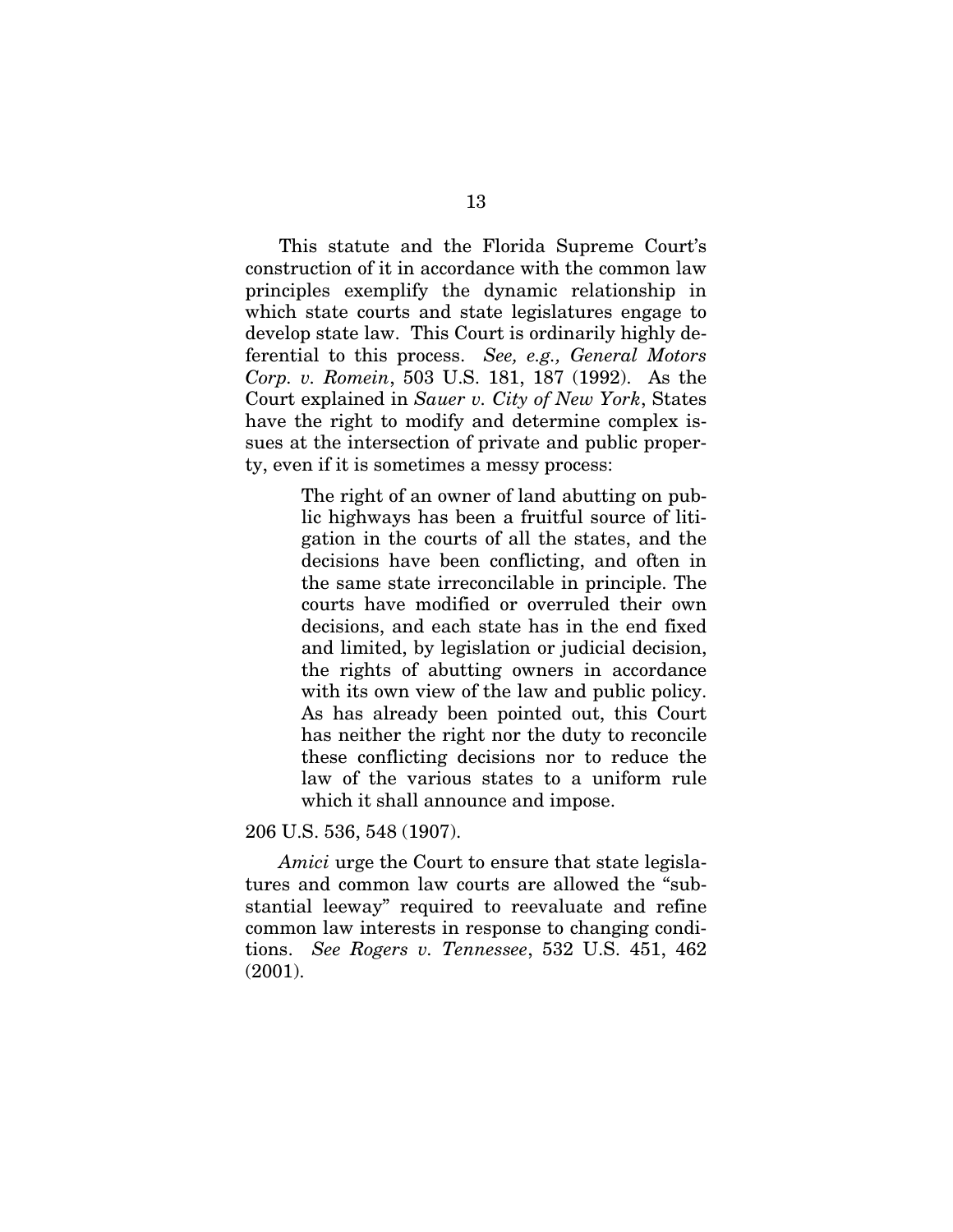This statute and the Florida Supreme Court's construction of it in accordance with the common law principles exemplify the dynamic relationship in which state courts and state legislatures engage to develop state law. This Court is ordinarily highly deferential to this process. *See, e.g., General Motors Corp. v. Romein*, 503 U.S. 181, 187 (1992). As the Court explained in *Sauer v. City of New York*, States have the right to modify and determine complex issues at the intersection of private and public property, even if it is sometimes a messy process:

> The right of an owner of land abutting on public highways has been a fruitful source of litigation in the courts of all the states, and the decisions have been conflicting, and often in the same state irreconcilable in principle. The courts have modified or overruled their own decisions, and each state has in the end fixed and limited, by legislation or judicial decision, the rights of abutting owners in accordance with its own view of the law and public policy. As has already been pointed out, this Court has neither the right nor the duty to reconcile these conflicting decisions nor to reduce the law of the various states to a uniform rule which it shall announce and impose.

206 U.S. 536, 548 (1907).

*Amici* urge the Court to ensure that state legislatures and common law courts are allowed the "substantial leeway" required to reevaluate and refine common law interests in response to changing conditions. *See Rogers v. Tennessee*, 532 U.S. 451, 462 (2001).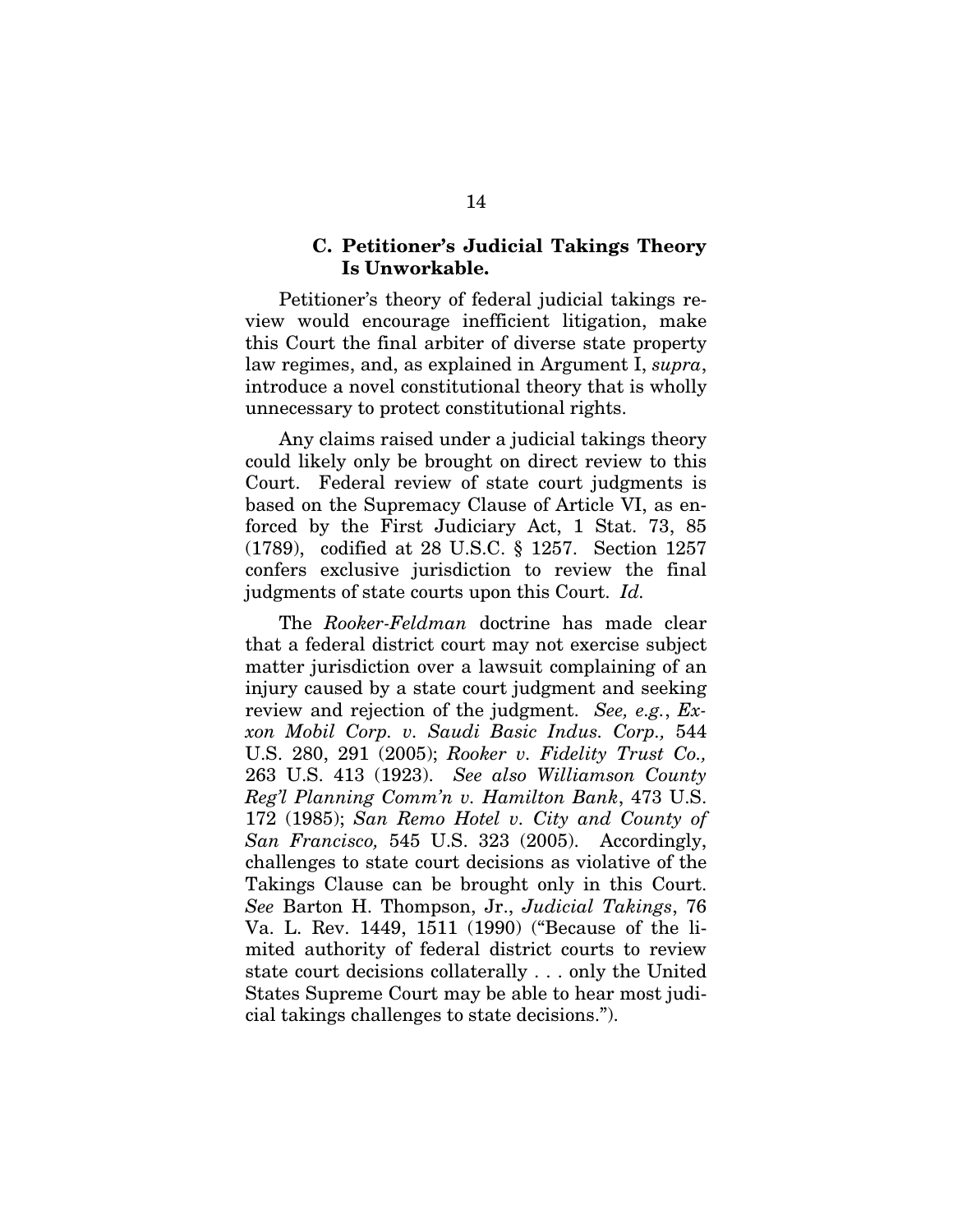#### C. Petitioner's Judicial Takings Theory Is Unworkable.

Petitioner's theory of federal judicial takings review would encourage inefficient litigation, make this Court the final arbiter of diverse state property law regimes, and, as explained in Argument I, *supra*, introduce a novel constitutional theory that is wholly unnecessary to protect constitutional rights.

Any claims raised under a judicial takings theory could likely only be brought on direct review to this Court. Federal review of state court judgments is based on the Supremacy Clause of Article VI, as enforced by the First Judiciary Act, 1 Stat. 73, 85 (1789), codified at 28 U.S.C. § 1257. Section 1257 confers exclusive jurisdiction to review the final judgments of state courts upon this Court. *Id.*

The *Rooker-Feldman* doctrine has made clear that a federal district court may not exercise subject matter jurisdiction over a lawsuit complaining of an injury caused by a state court judgment and seeking review and rejection of the judgment. *See, e.g.*, *Exxon Mobil Corp. v. Saudi Basic Indus. Corp.,* 544 U.S. 280, 291 (2005); *Rooker v. Fidelity Trust Co.,* 263 U.S. 413 (1923). *See also Williamson County Reg'l Planning Comm'n v. Hamilton Bank*, 473 U.S. 172 (1985); *San Remo Hotel v. City and County of San Francisco,* 545 U.S. 323 (2005). Accordingly, challenges to state court decisions as violative of the Takings Clause can be brought only in this Court. *See* Barton H. Thompson, Jr., *Judicial Takings*, 76 Va. L. Rev. 1449, 1511 (1990) ("Because of the limited authority of federal district courts to review state court decisions collaterally . . . only the United States Supreme Court may be able to hear most judicial takings challenges to state decisions.").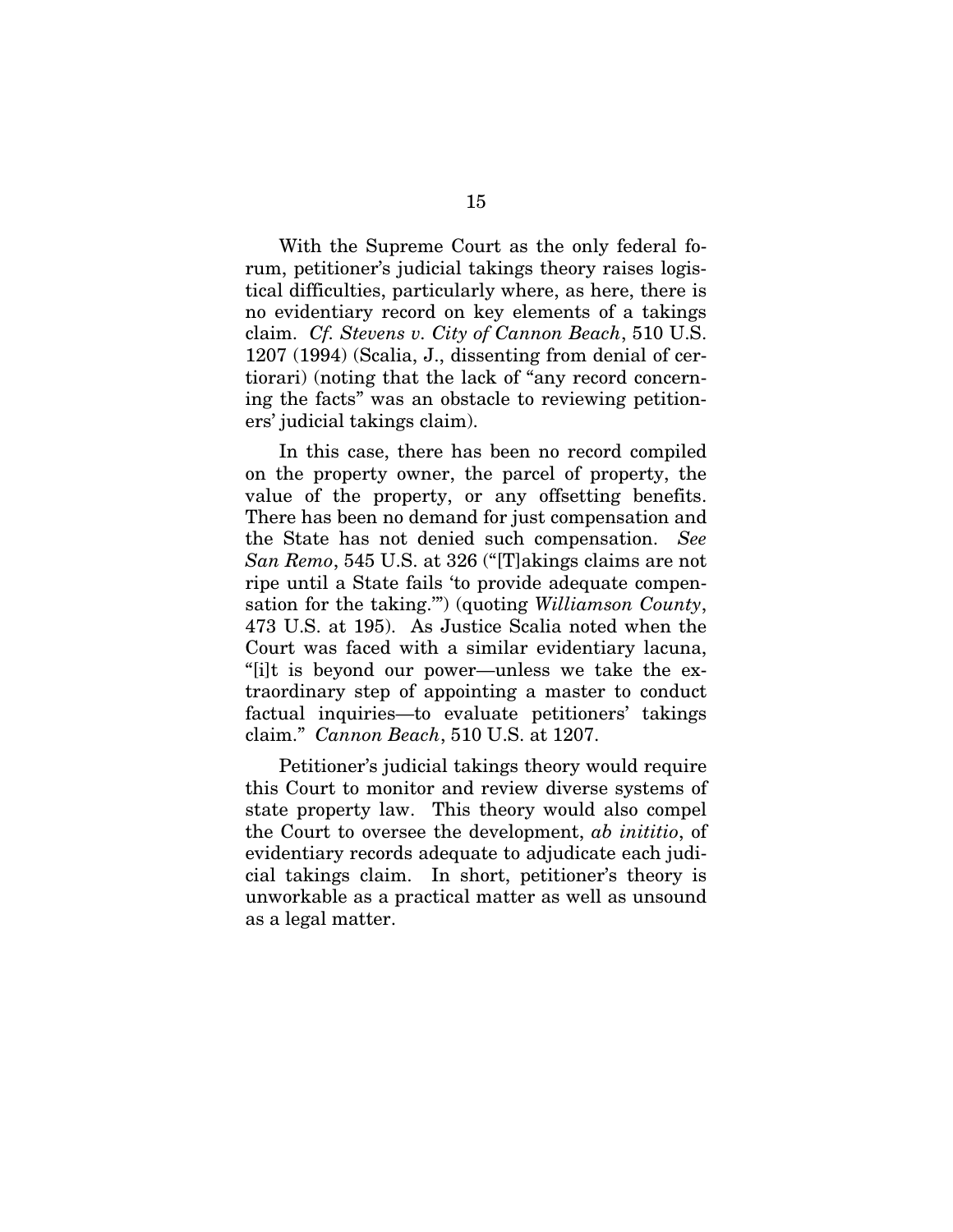With the Supreme Court as the only federal forum, petitioner's judicial takings theory raises logistical difficulties, particularly where, as here, there is no evidentiary record on key elements of a takings claim. *Cf. Stevens v. City of Cannon Beach*, 510 U.S. 1207 (1994) (Scalia, J., dissenting from denial of certiorari) (noting that the lack of "any record concerning the facts" was an obstacle to reviewing petitioners' judicial takings claim).

In this case, there has been no record compiled on the property owner, the parcel of property, the value of the property, or any offsetting benefits. There has been no demand for just compensation and the State has not denied such compensation. *See San Remo*, 545 U.S. at 326 ("[T]akings claims are not ripe until a State fails 'to provide adequate compensation for the taking.'") (quoting *Williamson County*, 473 U.S. at 195). As Justice Scalia noted when the Court was faced with a similar evidentiary lacuna, "[i]t is beyond our power—unless we take the extraordinary step of appointing a master to conduct factual inquiries—to evaluate petitioners' takings claim." *Cannon Beach*, 510 U.S. at 1207.

Petitioner's judicial takings theory would require this Court to monitor and review diverse systems of state property law. This theory would also compel the Court to oversee the development, *ab inititio*, of evidentiary records adequate to adjudicate each judicial takings claim. In short, petitioner's theory is unworkable as a practical matter as well as unsound as a legal matter.